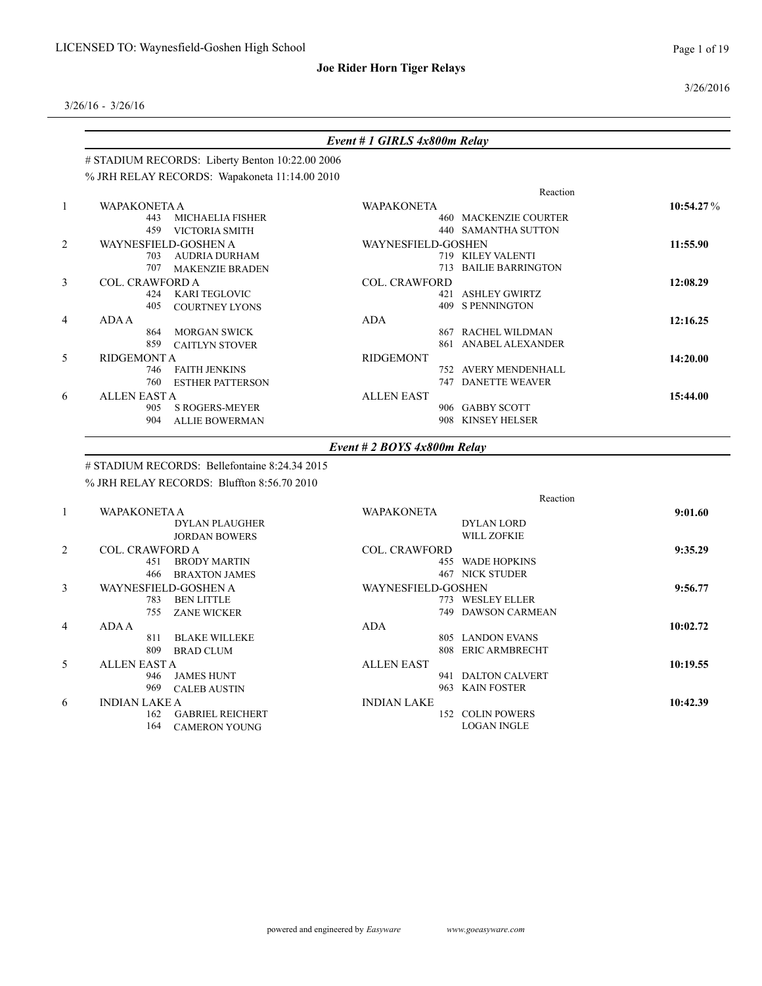3/26/2016

3/26/16 - 3/26/16

|                | # STADIUM RECORDS: Liberty Benton 10:22.00 2006 |                                 |           |
|----------------|-------------------------------------------------|---------------------------------|-----------|
|                | % JRH RELAY RECORDS: Wapakoneta 11:14.00 2010   |                                 |           |
|                |                                                 | Reaction                        |           |
| $\mathbf{1}$   | <b>WAPAKONETA A</b>                             | <b>WAPAKONETA</b>               | 10:54.27% |
|                | <b>MICHAELIA FISHER</b><br>443                  | <b>460 MACKENZIE COURTER</b>    |           |
|                | 459<br>VICTORIA SMITH                           | 440 SAMANTHA SUTTON             |           |
| $\overline{2}$ | WAYNESFIELD-GOSHEN A                            | WAYNESFIELD-GOSHEN              | 11:55.90  |
|                | <b>AUDRIA DURHAM</b><br>703                     | 719 KILEY VALENTI               |           |
|                | 707<br>MAKENZIE BRADEN                          | <b>BAILIE BARRINGTON</b><br>713 |           |
| 3              | <b>COL. CRAWFORD A</b>                          | <b>COL. CRAWFORD</b>            | 12:08.29  |
|                | <b>KARI TEGLOVIC</b><br>424                     | 421 ASHLEY GWIRTZ               |           |
|                | 405<br><b>COURTNEY LYONS</b>                    | 409 S PENNINGTON                |           |
| $\overline{4}$ | <b>ADA A</b>                                    | <b>ADA</b>                      | 12:16.25  |
|                | <b>MORGAN SWICK</b><br>864                      | RACHEL WILDMAN<br>867           |           |
|                | 859<br><b>CAITLYN STOVER</b>                    | ANABEL ALEXANDER<br>861         |           |
| 5              | <b>RIDGEMONT A</b>                              | <b>RIDGEMONT</b>                | 14:20.00  |
|                | <b>FAITH JENKINS</b><br>746                     | 752 AVERY MENDENHALL            |           |
|                | 760<br><b>ESTHER PATTERSON</b>                  | <b>DANETTE WEAVER</b><br>747    |           |
| 6              | <b>ALLEN EAST A</b>                             | <b>ALLEN EAST</b>               | 15:44.00  |
|                | <b>S ROGERS-MEYER</b><br>905                    | 906 GABBY SCOTT                 |           |
|                | 904<br><b>ALLIE BOWERMAN</b>                    | KINSEY HELSER<br>908            |           |
|                |                                                 | Event # $2$ BOYS $4x800m$ Relay |           |

% JRH RELAY RECORDS: Bluffton 8:56.70 2010

|                |                                | Reaction                     |          |
|----------------|--------------------------------|------------------------------|----------|
|                | <b>WAPAKONETA A</b>            | <b>WAPAKONETA</b>            | 9:01.60  |
|                | <b>DYLAN PLAUGHER</b>          | <b>DYLAN LORD</b>            |          |
|                | <b>JORDAN BOWERS</b>           | <b>WILL ZOFKIE</b>           |          |
| 2              | <b>COL. CRAWFORD A</b>         | <b>COL. CRAWFORD</b>         | 9:35.29  |
|                | <b>BRODY MARTIN</b><br>451     | 455 WADE HOPKINS             |          |
|                | 466<br><b>BRAXTON JAMES</b>    | <b>467 NICK STUDER</b>       |          |
| 3              | WAYNESFIELD-GOSHEN A           | <b>WAYNESFIELD-GOSHEN</b>    | 9:56.77  |
|                | <b>BEN LITTLE</b><br>783       | 773 WESLEY ELLER             |          |
|                | 755<br><b>ZANE WICKER</b>      | <b>DAWSON CARMEAN</b><br>749 |          |
| $\overline{4}$ | ADA A                          | <b>ADA</b>                   | 10:02.72 |
|                | <b>BLAKE WILLEKE</b><br>811    | <b>LANDON EVANS</b><br>805   |          |
|                | 809<br><b>BRAD CLUM</b>        | <b>ERIC ARMBRECHT</b><br>808 |          |
| 5              | <b>ALLEN EAST A</b>            | <b>ALLEN EAST</b>            | 10:19.55 |
|                | <b>JAMES HUNT</b><br>946       | <b>DALTON CALVERT</b><br>941 |          |
|                | 969<br><b>CALEB AUSTIN</b>     | <b>KAIN FOSTER</b><br>963    |          |
| 6              | <b>INDIAN LAKE A</b>           | <b>INDIAN LAKE</b>           | 10:42.39 |
|                | 162<br><b>GABRIEL REICHERT</b> | <b>COLIN POWERS</b><br>152   |          |
|                | 164<br><b>CAMERON YOUNG</b>    | <b>LOGAN INGLE</b>           |          |
|                |                                |                              |          |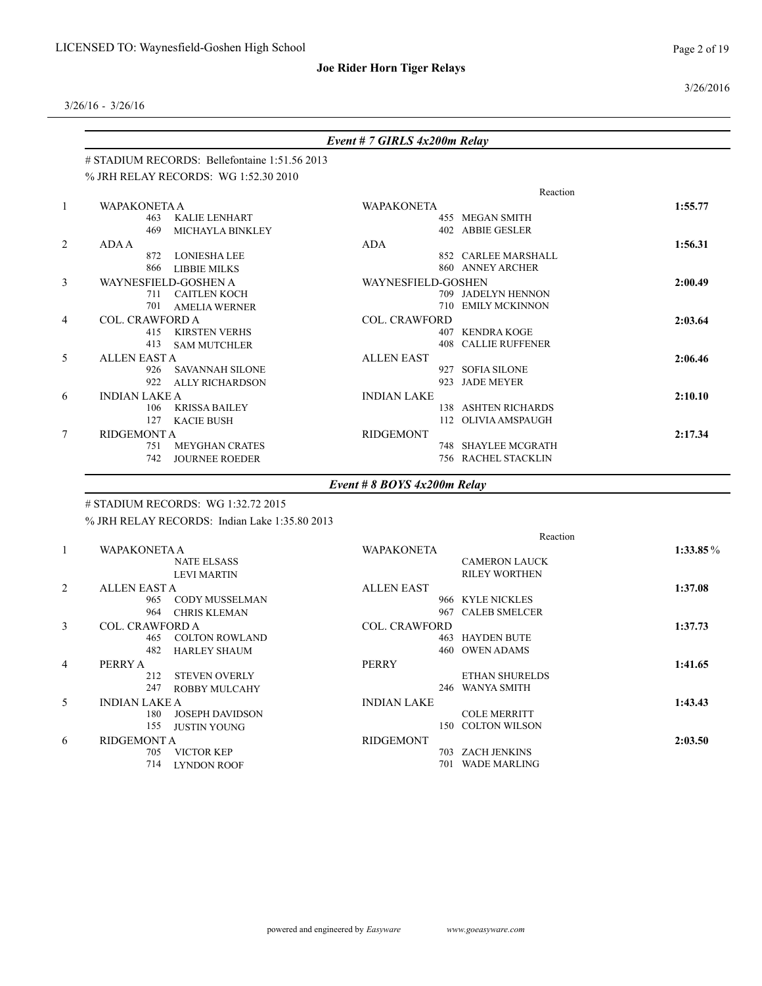3/26/2016

3/26/16 - 3/26/16

| # STADIUM RECORDS: Bellefontaine 1:51.56 2013<br>% JRH RELAY RECORDS: WG 1:52.30 2010<br>WAPAKONETA A<br><b>KALIE LENHART</b><br><b>MICHAYLA BINKLEY</b><br><b>LONIESHA LEE</b><br><b>LIBBIE MILKS</b><br><b>WAYNESFIELD-GOSHEN A</b><br>711 CAITLEN KOCH<br><b>AMELIA WERNER</b> | <b>WAPAKONETA</b><br><b>ADA</b><br>WAYNESFIELD-GOSHEN | Reaction<br>455 MEGAN SMITH<br>402 ABBIE GESLER<br>852 CARLEE MARSHALL<br>860 ANNEY ARCHER<br>709 JADELYN HENNON | 1:55.77<br>1:56.31<br>2:00.49                                                                             |
|-----------------------------------------------------------------------------------------------------------------------------------------------------------------------------------------------------------------------------------------------------------------------------------|-------------------------------------------------------|------------------------------------------------------------------------------------------------------------------|-----------------------------------------------------------------------------------------------------------|
|                                                                                                                                                                                                                                                                                   |                                                       |                                                                                                                  |                                                                                                           |
|                                                                                                                                                                                                                                                                                   |                                                       |                                                                                                                  |                                                                                                           |
|                                                                                                                                                                                                                                                                                   |                                                       |                                                                                                                  |                                                                                                           |
|                                                                                                                                                                                                                                                                                   |                                                       |                                                                                                                  |                                                                                                           |
|                                                                                                                                                                                                                                                                                   |                                                       |                                                                                                                  |                                                                                                           |
|                                                                                                                                                                                                                                                                                   |                                                       |                                                                                                                  |                                                                                                           |
|                                                                                                                                                                                                                                                                                   |                                                       |                                                                                                                  |                                                                                                           |
|                                                                                                                                                                                                                                                                                   |                                                       |                                                                                                                  |                                                                                                           |
|                                                                                                                                                                                                                                                                                   |                                                       |                                                                                                                  |                                                                                                           |
|                                                                                                                                                                                                                                                                                   |                                                       |                                                                                                                  |                                                                                                           |
|                                                                                                                                                                                                                                                                                   |                                                       |                                                                                                                  |                                                                                                           |
|                                                                                                                                                                                                                                                                                   |                                                       | 710 EMILY MCKINNON                                                                                               |                                                                                                           |
| COL. CRAWFORD A                                                                                                                                                                                                                                                                   | <b>COL. CRAWFORD</b>                                  |                                                                                                                  | 2:03.64                                                                                                   |
| <b>KIRSTEN VERHS</b>                                                                                                                                                                                                                                                              |                                                       | 407 KENDRA KOGE                                                                                                  |                                                                                                           |
| <b>SAM MUTCHLER</b>                                                                                                                                                                                                                                                               |                                                       | <b>408 CALLIE RUFFENER</b>                                                                                       |                                                                                                           |
|                                                                                                                                                                                                                                                                                   | <b>ALLEN EAST</b>                                     |                                                                                                                  | 2:06.46                                                                                                   |
| SAVANNAH SILONE                                                                                                                                                                                                                                                                   |                                                       | 927 SOFIA SILONE                                                                                                 |                                                                                                           |
| ALLY RICHARDSON                                                                                                                                                                                                                                                                   |                                                       | 923 JADE MEYER                                                                                                   |                                                                                                           |
|                                                                                                                                                                                                                                                                                   | <b>INDIAN LAKE</b>                                    |                                                                                                                  | 2:10.10                                                                                                   |
| <b>KRISSA BAILEY</b>                                                                                                                                                                                                                                                              |                                                       | 138 ASHTEN RICHARDS                                                                                              |                                                                                                           |
| <b>KACIE BUSH</b>                                                                                                                                                                                                                                                                 |                                                       |                                                                                                                  |                                                                                                           |
|                                                                                                                                                                                                                                                                                   | <b>RIDGEMONT</b>                                      |                                                                                                                  | 2:17.34                                                                                                   |
| <b>MEYGHAN CRATES</b>                                                                                                                                                                                                                                                             |                                                       |                                                                                                                  |                                                                                                           |
|                                                                                                                                                                                                                                                                                   |                                                       |                                                                                                                  |                                                                                                           |
|                                                                                                                                                                                                                                                                                   | <b>JOURNEE ROEDER</b>                                 |                                                                                                                  | 112 OLIVIA AMSPAUGH<br>748 SHAYLEE MCGRATH<br><b>756 RACHEL STACKLIN</b><br>Event # 8 BOYS $4x200m$ Relay |

### # STADIUM RECORDS: WG 1:32.72 2015

% JRH RELAY RECORDS: Indian Lake 1:35.80 2013

|                |                        |                        | Reaction             |                      |  |             |  |
|----------------|------------------------|------------------------|----------------------|----------------------|--|-------------|--|
| 1              |                        | <b>WAPAKONETA A</b>    |                      |                      |  | $1:33.85\%$ |  |
|                |                        | <b>NATE ELSASS</b>     |                      | <b>CAMERON LAUCK</b> |  |             |  |
|                |                        | <b>LEVI MARTIN</b>     |                      | <b>RILEY WORTHEN</b> |  |             |  |
| 2              | <b>ALLEN EAST A</b>    |                        | <b>ALLEN EAST</b>    |                      |  | 1:37.08     |  |
|                | 965                    | CODY MUSSELMAN         |                      | 966 KYLE NICKLES     |  |             |  |
|                | 964                    | <b>CHRIS KLEMAN</b>    | 967                  | <b>CALEB SMELCER</b> |  |             |  |
| 3              | <b>COL. CRAWFORD A</b> |                        | <b>COL. CRAWFORD</b> |                      |  | 1:37.73     |  |
|                | 465                    | <b>COLTON ROWLAND</b>  |                      | 463 HAYDEN BUTE      |  |             |  |
|                | 482                    | <b>HARLEY SHAUM</b>    |                      | 460 OWEN ADAMS       |  |             |  |
| $\overline{4}$ | PERRY A                |                        | <b>PERRY</b>         |                      |  | 1:41.65     |  |
|                | 212                    | <b>STEVEN OVERLY</b>   |                      | ETHAN SHURELDS       |  |             |  |
|                | 247                    | <b>ROBBY MULCAHY</b>   |                      | 246 WANYA SMITH      |  |             |  |
| 5              | <b>INDIAN LAKE A</b>   |                        | <b>INDIAN LAKE</b>   |                      |  | 1:43.43     |  |
|                | 180                    | <b>JOSEPH DAVIDSON</b> |                      | <b>COLE MERRITT</b>  |  |             |  |
|                | 155                    | <b>JUSTIN YOUNG</b>    | 150                  | COLTON WILSON        |  |             |  |
| 6              | <b>RIDGEMONT A</b>     |                        | <b>RIDGEMONT</b>     |                      |  | 2:03.50     |  |
|                | 705                    | VICTOR KEP             |                      | 703 ZACH JENKINS     |  |             |  |
|                | 714                    | <b>LYNDON ROOF</b>     | 701                  | <b>WADE MARLING</b>  |  |             |  |
|                |                        |                        |                      |                      |  |             |  |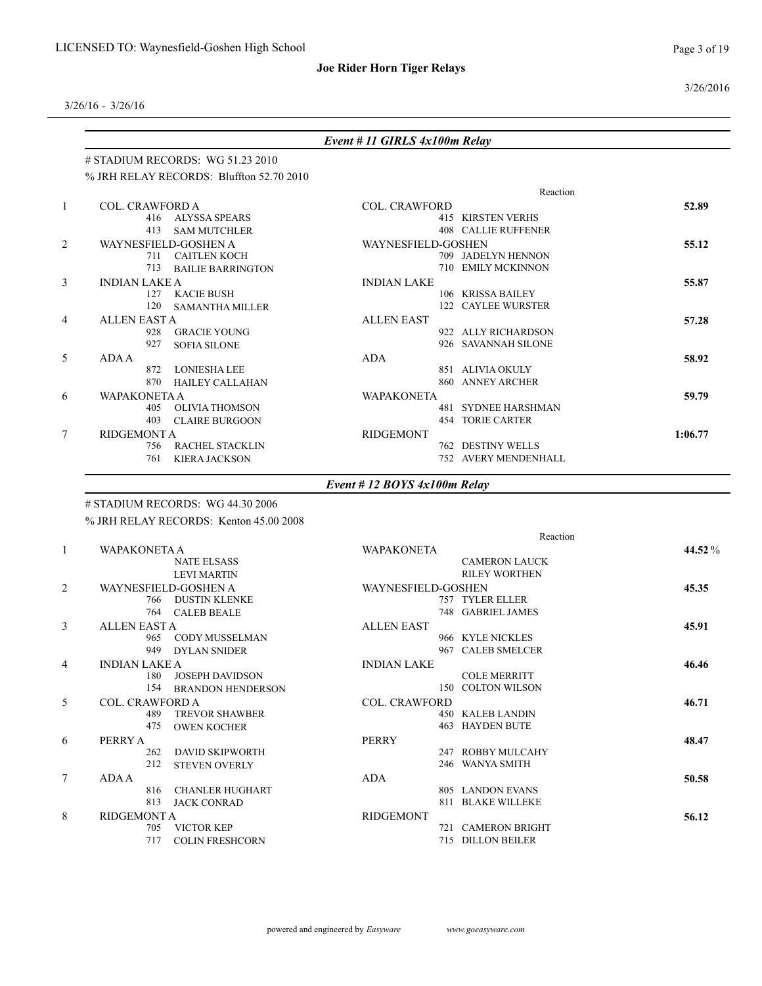3/26/2016

3/26/16 - 3/26/16

|   |                        |                                          | Event # 11 GIRLS $4x100m$ Relay |                            |         |
|---|------------------------|------------------------------------------|---------------------------------|----------------------------|---------|
|   |                        | $\#$ STADIUM RECORDS: WG 51.23 2010      |                                 |                            |         |
|   |                        | % JRH RELAY RECORDS: Bluffton 52.70 2010 |                                 |                            |         |
|   |                        |                                          |                                 | Reaction                   |         |
|   | <b>COL. CRAWFORD A</b> |                                          | <b>COL. CRAWFORD</b>            |                            | 52.89   |
|   | 416                    | ALYSSA SPEARS                            |                                 | <b>415 KIRSTEN VERHS</b>   |         |
|   | 413                    | <b>SAM MUTCHLER</b>                      |                                 | <b>408 CALLIE RUFFENER</b> |         |
|   | WAYNESFIELD-GOSHEN A   |                                          | WAYNESFIELD-GOSHEN              |                            | 55.12   |
|   |                        | 711 CAITLEN KOCH                         |                                 | 709 JADELYN HENNON         |         |
|   | 713                    | <b>BAILIE BARRINGTON</b>                 |                                 | 710 EMILY MCKINNON         |         |
| 3 | <b>INDIAN LAKE A</b>   |                                          | <b>INDIAN LAKE</b>              |                            | 55.87   |
|   | 127                    | <b>KACIE BUSH</b>                        |                                 | 106 KRISSA BAILEY          |         |
|   | 120                    | <b>SAMANTHA MILLER</b>                   |                                 | 122 CAYLEE WURSTER         |         |
| 4 | <b>ALLEN EAST A</b>    |                                          | <b>ALLEN EAST</b>               |                            | 57.28   |
|   | 928                    | <b>GRACIE YOUNG</b>                      |                                 | 922 ALLY RICHARDSON        |         |
|   | 927                    | <b>SOFIA SILONE</b>                      |                                 | 926 SAVANNAH SILONE        |         |
| 5 | <b>ADA A</b>           |                                          | <b>ADA</b>                      |                            | 58.92   |
|   | 872                    | <b>LONIESHA LEE</b>                      |                                 | 851 ALIVIA OKULY           |         |
|   | 870                    | <b>HAILEY CALLAHAN</b>                   |                                 | 860 ANNEY ARCHER           |         |
| 6 | WAPAKONETA A           |                                          | <b>WAPAKONETA</b>               |                            | 59.79   |
|   | 405                    | <b>OLIVIA THOMSON</b>                    |                                 | <b>481 SYDNEE HARSHMAN</b> |         |
|   | 403                    | <b>CLAIRE BURGOON</b>                    |                                 | <b>454 TORIE CARTER</b>    |         |
| 7 | <b>RIDGEMONT A</b>     |                                          | <b>RIDGEMONT</b>                |                            | 1:06.77 |
|   | 756                    | <b>RACHEL STACKLIN</b>                   |                                 | 762 DESTINY WELLS          |         |
|   | 761                    | <b>KIERA JACKSON</b>                     |                                 | 752 AVERY MENDENHALL       |         |
|   |                        |                                          | Event # 12 BOYS $4x100m$ Relay  |                            |         |

## # STADIUM RECORDS: WG 44.30 2006

% JRH RELAY RECORDS: Kenton 45.00 2008

|                |                                 | Reaction               |        |
|----------------|---------------------------------|------------------------|--------|
|                | <b>WAPAKONETA A</b>             | <b>WAPAKONETA</b>      | 44.52% |
|                | <b>NATE ELSASS</b>              | <b>CAMERON LAUCK</b>   |        |
|                | <b>LEVI MARTIN</b>              | <b>RILEY WORTHEN</b>   |        |
| 2              | WAYNESFIELD-GOSHEN A            | WAYNESFIELD-GOSHEN     | 45.35  |
|                | <b>DUSTIN KLENKE</b><br>766     | 757 TYLER ELLER        |        |
|                | 764 CALEB BEALE                 | 748 GABRIEL JAMES      |        |
| 3              | <b>ALLEN EAST A</b>             | <b>ALLEN EAST</b>      | 45.91  |
|                | CODY MUSSELMAN<br>965           | 966 KYLE NICKLES       |        |
|                | 949<br><b>DYLAN SNIDER</b>      | 967 CALEB SMELCER      |        |
| $\overline{4}$ | <b>INDIAN LAKE A</b>            | <b>INDIAN LAKE</b>     | 46.46  |
|                | JOSEPH DAVIDSON<br>180          | <b>COLE MERRITT</b>    |        |
|                | 154<br><b>BRANDON HENDERSON</b> | 150 COLTON WILSON      |        |
| 5              | <b>COL. CRAWFORD A</b>          | <b>COL. CRAWFORD</b>   | 46.71  |
|                | <b>TREVOR SHAWBER</b><br>489    | 450 KALEB LANDIN       |        |
|                | 475<br><b>OWEN KOCHER</b>       | <b>463 HAYDEN BUTE</b> |        |
| 6              | PERRY A                         | <b>PERRY</b>           | 48.47  |
|                | 262<br><b>DAVID SKIPWORTH</b>   | 247 ROBBY MULCAHY      |        |
|                | 212<br><b>STEVEN OVERLY</b>     | 246 WANYA SMITH        |        |
| $\tau$         | ADA A                           | <b>ADA</b>             | 50.58  |
|                | 816<br><b>CHANLER HUGHART</b>   | 805 LANDON EVANS       |        |
|                | 813<br><b>JACK CONRAD</b>       | 811 BLAKE WILLEKE      |        |
| 8              | <b>RIDGEMONT A</b>              | <b>RIDGEMONT</b>       | 56.12  |
|                | <b>VICTOR KEP</b><br>705        | 721 CAMERON BRIGHT     |        |
|                | 717<br><b>COLIN FRESHCORN</b>   | 715 DILLON BEILER      |        |
|                |                                 |                        |        |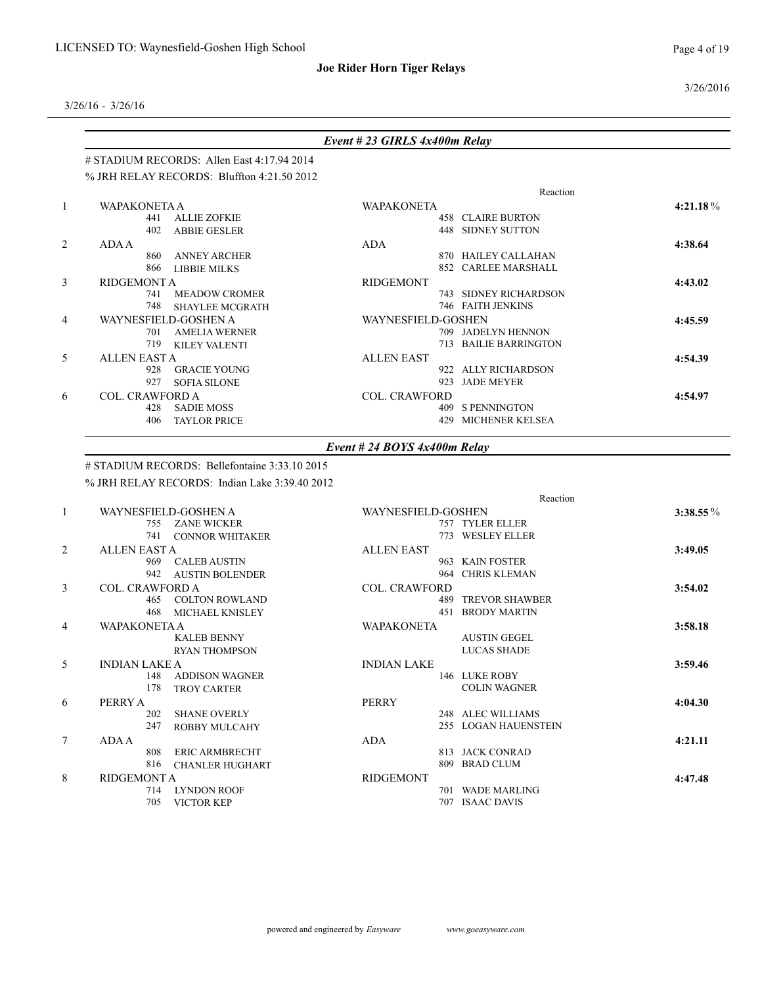3/26/2016

|                |                                               | Event # 23 GIRLS 4x400m Relay  |             |
|----------------|-----------------------------------------------|--------------------------------|-------------|
|                | $\#$ STADIUM RECORDS: Allen East 4:17.94 2014 |                                |             |
|                | % JRH RELAY RECORDS: Bluffton 4:21.50 2012    |                                |             |
|                |                                               | Reaction                       |             |
| $\mathbf{1}$   | <b>WAPAKONETA A</b>                           | <b>WAPAKONETA</b>              | $4:21.18\%$ |
|                | <b>ALLIE ZOFKIE</b><br>441                    | <b>458 CLAIRE BURTON</b>       |             |
|                | 402<br><b>ABBIE GESLER</b>                    | <b>448 SIDNEY SUTTON</b>       |             |
| 2              | ADA A                                         | <b>ADA</b>                     | 4:38.64     |
|                | <b>ANNEY ARCHER</b><br>860                    | 870 HAILEY CALLAHAN            |             |
|                | 866<br><b>LIBBIE MILKS</b>                    | 852 CARLEE MARSHALL            |             |
| 3              | <b>RIDGEMONT A</b>                            | <b>RIDGEMONT</b>               | 4:43.02     |
|                | <b>MEADOW CROMER</b><br>741                   | 743 SIDNEY RICHARDSON          |             |
|                | 748<br><b>SHAYLEE MCGRATH</b>                 | 746 FAITH JENKINS              |             |
| $\overline{4}$ | WAYNESFIELD-GOSHEN A                          | WAYNESFIELD-GOSHEN             | 4:45.59     |
|                | <b>AMELIA WERNER</b><br>701                   | 709 JADELYN HENNON             |             |
|                | 719<br><b>KILEY VALENTI</b>                   | 713 BAILIE BARRINGTON          |             |
| 5              | <b>ALLEN EAST A</b>                           | <b>ALLEN EAST</b>              | 4:54.39     |
|                | <b>GRACIE YOUNG</b><br>928                    | 922 ALLY RICHARDSON            |             |
|                | 927<br><b>SOFIA SILONE</b>                    | <b>JADE MEYER</b><br>923       |             |
| 6              | <b>COL. CRAWFORD A</b>                        | <b>COL. CRAWFORD</b>           | 4:54.97     |
|                | <b>SADIE MOSS</b><br>428                      | 409 S PENNINGTON               |             |
|                | 406<br><b>TAYLOR PRICE</b>                    | <b>429 MICHENER KELSEA</b>     |             |
|                |                                               | Event # 24 BOYS $4x400m$ Relay |             |
|                | # STADIUM RECORDS: Bellefontaine 3:33.10 2015 |                                |             |
|                | % JRH RELAY RECORDS: Indian Lake 3:39.40 2012 |                                |             |
|                |                                               | Reaction                       |             |
| $\overline{1}$ | WAYNESFIELD-GOSHEN A                          | <b>WAYNESFIELD-GOSHEN</b>      | $3:38.55\%$ |
|                | 755 ZANE WICKER                               | 757 TYLER ELLER                |             |
|                | $741 - 0010100$ WILLET KED                    | $772$ WESTEVELED.              |             |

|    | 755                    | <b>ZANE WICKER</b>     |                      | 757 TYLER ELLER         |         |
|----|------------------------|------------------------|----------------------|-------------------------|---------|
|    | 741                    | <b>CONNOR WHITAKER</b> |                      | 773 WESLEY ELLER        |         |
| 2  | <b>ALLEN EAST A</b>    |                        | <b>ALLEN EAST</b>    |                         | 3:49.05 |
|    |                        | 969 CALEB AUSTIN       |                      | 963 KAIN FOSTER         |         |
|    | 942                    | <b>AUSTIN BOLENDER</b> |                      | 964 CHRIS KLEMAN        |         |
| 3  | <b>COL. CRAWFORD A</b> |                        | <b>COL. CRAWFORD</b> |                         | 3:54.02 |
|    |                        | 465 COLTON ROWLAND     |                      | 489 TREVOR SHAWBER      |         |
|    | 468                    | MICHAEL KNISLEY        |                      | <b>451 BRODY MARTIN</b> |         |
| 4  | <b>WAPAKONETA A</b>    |                        | <b>WAPAKONETA</b>    |                         | 3:58.18 |
|    |                        | <b>KALEB BENNY</b>     |                      | <b>AUSTIN GEGEL</b>     |         |
|    |                        | <b>RYAN THOMPSON</b>   |                      | LUCAS SHADE             |         |
| 5. | <b>INDIAN LAKE A</b>   |                        | <b>INDIAN LAKE</b>   |                         | 3:59.46 |
|    | 148                    | ADDISON WAGNER         |                      | 146 LUKE ROBY           |         |
|    | 178                    | <b>TROY CARTER</b>     |                      | <b>COLIN WAGNER</b>     |         |
| 6  | PERRY A                |                        | PERRY                |                         | 4:04.30 |
|    | 202                    | <b>SHANE OVERLY</b>    |                      | 248 ALEC WILLIAMS       |         |
|    | 247                    | <b>ROBBY MULCAHY</b>   |                      | 255 LOGAN HAUENSTEIN    |         |
|    | ADA A                  |                        | ADA                  |                         | 4:21.11 |
|    | 808                    | <b>ERIC ARMBRECHT</b>  |                      | 813 JACK CONRAD         |         |
|    | 816                    | <b>CHANLER HUGHART</b> |                      | 809 BRAD CLUM           |         |
| 8  | <b>RIDGEMONT A</b>     |                        | <b>RIDGEMONT</b>     |                         | 4:47.48 |
|    | 714                    | <b>LYNDON ROOF</b>     |                      | 701 WADE MARLING        |         |
|    | 705                    | <b>VICTOR KEP</b>      |                      | 707 ISAAC DAVIS         |         |
|    |                        |                        |                      |                         |         |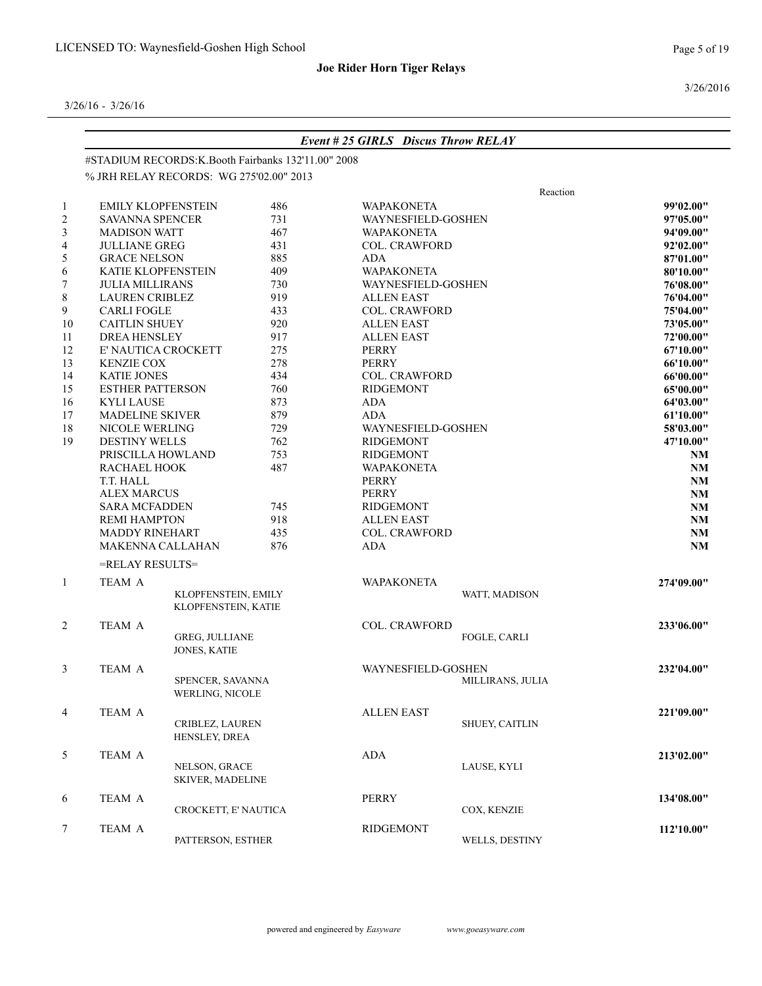3/26/2016

|              |                          |                                                    |     | <b>Event #25 GIRLS Discus Throw RELAY</b> |                       |            |  |
|--------------|--------------------------|----------------------------------------------------|-----|-------------------------------------------|-----------------------|------------|--|
|              |                          | #STADIUM RECORDS:K.Booth Fairbanks 132'11.00" 2008 |     |                                           |                       |            |  |
|              |                          | % JRH RELAY RECORDS: WG 275'02.00" 2013            |     |                                           |                       |            |  |
|              |                          |                                                    |     |                                           | Reaction              |            |  |
| 1            |                          | <b>EMILY KLOPFENSTEIN</b>                          | 486 | <b>WAPAKONETA</b>                         |                       | 99'02.00"  |  |
| 2            | <b>SAVANNA SPENCER</b>   |                                                    | 731 | WAYNESFIELD-GOSHEN                        |                       | 97'05.00"  |  |
| 3            | <b>MADISON WATT</b>      |                                                    | 467 | <b>WAPAKONETA</b>                         |                       | 94'09.00"  |  |
| 4            | <b>JULLIANE GREG</b>     |                                                    | 431 | <b>COL. CRAWFORD</b>                      |                       | 92'02.00"  |  |
| 5            | <b>GRACE NELSON</b>      |                                                    | 885 | <b>ADA</b>                                |                       | 87'01.00"  |  |
| 6            | KATIE KLOPFENSTEIN       |                                                    | 409 | <b>WAPAKONETA</b>                         |                       | 80'10.00"  |  |
| 7            | <b>JULIA MILLIRANS</b>   |                                                    | 730 | WAYNESFIELD-GOSHEN                        |                       | 76'08.00"  |  |
| 8            | <b>LAUREN CRIBLEZ</b>    |                                                    | 919 | <b>ALLEN EAST</b>                         |                       | 76'04.00"  |  |
| 9            | <b>CARLI FOGLE</b>       |                                                    | 433 | <b>COL. CRAWFORD</b>                      |                       | 75'04.00"  |  |
| 10           | <b>CAITLIN SHUEY</b>     |                                                    | 920 | <b>ALLEN EAST</b>                         |                       | 73'05.00"  |  |
| 11           | <b>DREA HENSLEY</b>      |                                                    | 917 | <b>ALLEN EAST</b>                         |                       | 72'00.00"  |  |
| 12           |                          | E' NAUTICA CROCKETT                                | 275 | PERRY                                     |                       | 67'10.00"  |  |
| 13           | <b>KENZIE COX</b>        |                                                    | 278 | <b>PERRY</b>                              |                       | 66'10.00"  |  |
| 14           | <b>KATIE JONES</b>       |                                                    | 434 | <b>COL. CRAWFORD</b>                      |                       | 66'00.00"  |  |
| 15           | <b>ESTHER PATTERSON</b>  |                                                    | 760 | <b>RIDGEMONT</b>                          |                       | 65'00.00"  |  |
| 16           | <b>KYLI LAUSE</b>        |                                                    | 873 | ADA                                       |                       | 64'03.00"  |  |
| 17           | <b>MADELINE SKIVER</b>   |                                                    | 879 | ADA                                       |                       |            |  |
| 18           | NICOLE WERLING           |                                                    | 729 |                                           | WAYNESFIELD-GOSHEN    |            |  |
| 19           | <b>DESTINY WELLS</b>     |                                                    | 762 | <b>RIDGEMONT</b>                          |                       |            |  |
|              | 753<br>PRISCILLA HOWLAND |                                                    |     | <b>RIDGEMONT</b>                          |                       | NM         |  |
|              | RACHAEL HOOK             |                                                    | 487 | <b>WAPAKONETA</b>                         | <b>NM</b>             |            |  |
|              | T.T. HALL                |                                                    |     | <b>PERRY</b>                              |                       |            |  |
|              | <b>ALEX MARCUS</b>       |                                                    |     | <b>PERRY</b>                              | NM                    |            |  |
|              | <b>SARA MCFADDEN</b>     |                                                    | 745 | <b>RIDGEMONT</b>                          | NM                    |            |  |
|              | <b>REMI HAMPTON</b>      |                                                    | 918 | <b>ALLEN EAST</b>                         | <b>NM</b>             |            |  |
|              | <b>MADDY RINEHART</b>    |                                                    | 435 | <b>COL. CRAWFORD</b>                      |                       | <b>NM</b>  |  |
|              |                          | MAKENNA CALLAHAN                                   | 876 | ADA                                       |                       | <b>NM</b>  |  |
|              | =RELAY RESULTS=          |                                                    |     |                                           |                       |            |  |
| $\mathbf{1}$ | TEAM A                   |                                                    |     | <b>WAPAKONETA</b>                         |                       | 274'09.00" |  |
|              |                          | KLOPFENSTEIN, EMILY<br>KLOPFENSTEIN, KATIE         |     |                                           | WATT, MADISON         |            |  |
| 2            | TEAM A                   |                                                    |     |                                           | <b>COL. CRAWFORD</b>  |            |  |
|              |                          | GREG, JULLIANE<br><b>JONES, KATIE</b>              |     |                                           | FOGLE, CARLI          |            |  |
| 3            | <b>TEAM A</b>            |                                                    |     | WAYNESFIELD-GOSHEN                        |                       | 232'04.00" |  |
|              |                          | SPENCER, SAVANNA<br>WERLING, NICOLE                |     |                                           | MILLIRANS, JULIA      |            |  |
| 4            | TEAM A                   |                                                    |     | <b>ALLEN EAST</b>                         |                       | 221'09.00" |  |
|              |                          | CRIBLEZ, LAUREN<br>HENSLEY, DREA                   |     |                                           | <b>SHUEY, CAITLIN</b> |            |  |
| 5            | TEAM A                   |                                                    |     | ADA                                       |                       | 213'02.00" |  |
|              |                          | NELSON, GRACE<br>SKIVER, MADELINE                  |     |                                           | LAUSE, KYLI           |            |  |
| 6            | TEAM A                   |                                                    |     | PERRY                                     |                       | 134'08.00" |  |
|              |                          | CROCKETT, E' NAUTICA                               |     |                                           | COX, KENZIE           |            |  |
| 7<br>TEAM A  |                          |                                                    |     | RIDGEMONT                                 |                       | 112'10.00" |  |
|              |                          | PATTERSON, ESTHER                                  |     |                                           | WELLS, DESTINY        |            |  |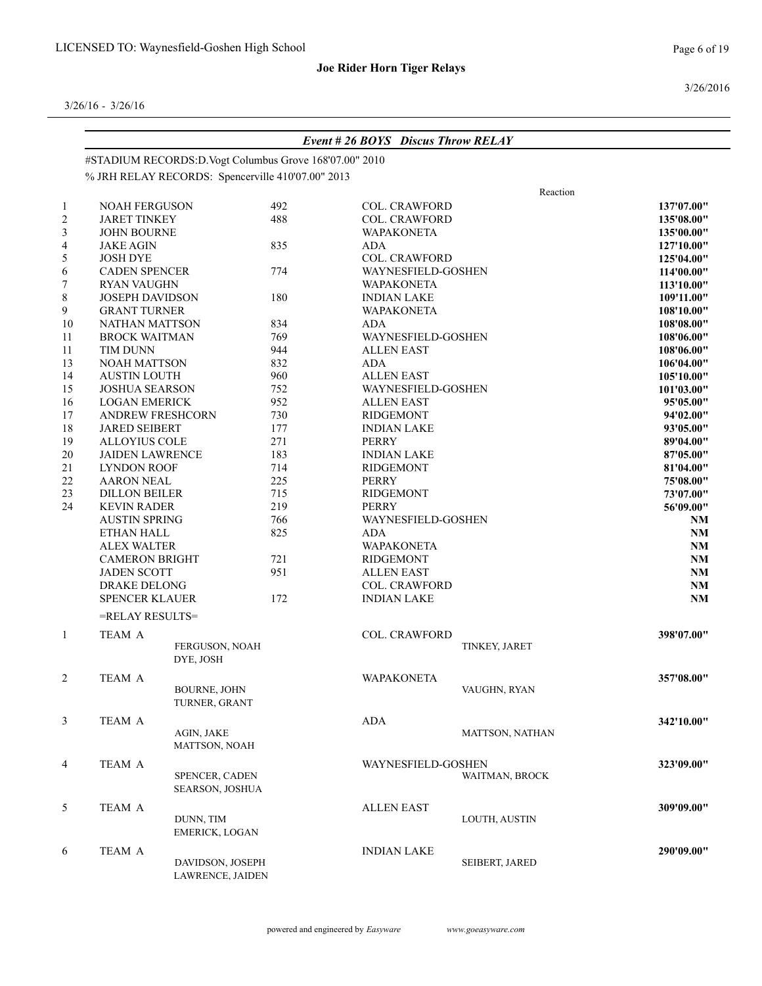3/26/2016

|                | <b>Event #26 BOYS</b> Discus Throw RELAY      |                                                        |     |                           |                        |                          |  |  |  |
|----------------|-----------------------------------------------|--------------------------------------------------------|-----|---------------------------|------------------------|--------------------------|--|--|--|
|                |                                               | #STADIUM RECORDS:D.Vogt Columbus Grove 168'07.00" 2010 |     |                           |                        |                          |  |  |  |
|                |                                               | % JRH RELAY RECORDS: Spencerville 410'07.00" 2013      |     |                           |                        |                          |  |  |  |
|                |                                               |                                                        |     |                           | Reaction               |                          |  |  |  |
| $\mathbf{1}$   | <b>NOAH FERGUSON</b>                          |                                                        | 492 | <b>COL. CRAWFORD</b>      |                        | 137'07.00"               |  |  |  |
| $\sqrt{2}$     | <b>JARET TINKEY</b>                           |                                                        | 488 | COL. CRAWFORD             |                        | 135'08.00"               |  |  |  |
| $\mathfrak{Z}$ | <b>JOHN BOURNE</b>                            |                                                        |     | <b>WAPAKONETA</b>         |                        | 135'00.00"               |  |  |  |
| 4              | <b>JAKE AGIN</b>                              |                                                        | 835 | <b>ADA</b>                |                        | 127'10.00"               |  |  |  |
| 5              | <b>JOSH DYE</b>                               |                                                        |     | <b>COL. CRAWFORD</b>      |                        | 125'04.00"               |  |  |  |
| 6              | <b>CADEN SPENCER</b>                          |                                                        | 774 | WAYNESFIELD-GOSHEN        |                        | 114'00.00"               |  |  |  |
| 7              | <b>RYAN VAUGHN</b>                            |                                                        |     | <b>WAPAKONETA</b>         |                        | 113'10.00"               |  |  |  |
| 8              | JOSEPH DAVIDSON<br><b>GRANT TURNER</b>        |                                                        | 180 | <b>INDIAN LAKE</b>        |                        | 109'11.00"               |  |  |  |
| 9              |                                               |                                                        | 834 | <b>WAPAKONETA</b>         |                        | 108'10.00"               |  |  |  |
| 10             | NATHAN MATTSON                                |                                                        | 769 | ADA<br>WAYNESFIELD-GOSHEN |                        | 108'08.00"               |  |  |  |
| 11<br>11       | <b>BROCK WAITMAN</b><br>TIM DUNN              |                                                        | 944 | <b>ALLEN EAST</b>         |                        | 108'06.00"<br>108'06.00" |  |  |  |
|                | <b>NOAH MATTSON</b>                           |                                                        | 832 | <b>ADA</b>                |                        | 106'04.00"               |  |  |  |
| 13<br>14       | <b>AUSTIN LOUTH</b>                           |                                                        | 960 | <b>ALLEN EAST</b>         |                        | 105'10.00"               |  |  |  |
| 15             | <b>JOSHUA SEARSON</b>                         |                                                        | 752 | WAYNESFIELD-GOSHEN        |                        | 101'03.00"               |  |  |  |
| 16             | <b>LOGAN EMERICK</b>                          |                                                        | 952 | <b>ALLEN EAST</b>         |                        | 95'05.00"                |  |  |  |
| 17             | <b>ANDREW FRESHCORN</b>                       |                                                        | 730 | <b>RIDGEMONT</b>          |                        | 94'02.00"                |  |  |  |
| $18\,$         | <b>JARED SEIBERT</b>                          |                                                        | 177 | <b>INDIAN LAKE</b>        |                        |                          |  |  |  |
| 19             | <b>ALLOYIUS COLE</b>                          |                                                        | 271 | PERRY                     |                        |                          |  |  |  |
| 20             | 183<br><b>JAIDEN LAWRENCE</b>                 |                                                        |     |                           | <b>INDIAN LAKE</b>     |                          |  |  |  |
| 21             | 714<br><b>LYNDON ROOF</b><br><b>RIDGEMONT</b> |                                                        |     |                           |                        | 87'05.00"<br>81'04.00"   |  |  |  |
| $22\,$         | <b>AARON NEAL</b>                             | 225<br><b>PERRY</b>                                    |     |                           |                        | 75'08.00"                |  |  |  |
| 23             | <b>DILLON BEILER</b>                          |                                                        | 715 | <b>RIDGEMONT</b>          |                        | 73'07.00"                |  |  |  |
| 24             | <b>KEVIN RADER</b>                            |                                                        | 219 | <b>PERRY</b>              |                        | 56'09.00"                |  |  |  |
|                | <b>AUSTIN SPRING</b>                          |                                                        | 766 |                           | WAYNESFIELD-GOSHEN     |                          |  |  |  |
|                | ETHAN HALL                                    |                                                        | 825 | <b>ADA</b>                | NM                     |                          |  |  |  |
|                | <b>ALEX WALTER</b>                            |                                                        |     | <b>WAPAKONETA</b>         | NM                     |                          |  |  |  |
|                | <b>CAMERON BRIGHT</b>                         |                                                        | 721 | <b>RIDGEMONT</b>          | NM                     |                          |  |  |  |
|                | <b>JADEN SCOTT</b>                            |                                                        | 951 | <b>ALLEN EAST</b>         | <b>NM</b>              |                          |  |  |  |
|                | DRAKE DELONG                                  |                                                        |     |                           | COL. CRAWFORD          |                          |  |  |  |
|                | SPENCER KLAUER                                |                                                        | 172 | <b>INDIAN LAKE</b>        | <b>NM</b>              |                          |  |  |  |
|                | =RELAY RESULTS=                               |                                                        |     |                           |                        |                          |  |  |  |
| $\mathbf{1}$   | TEAM A                                        |                                                        |     | <b>COL. CRAWFORD</b>      |                        | 398'07.00"               |  |  |  |
|                |                                               | FERGUSON, NOAH<br>DYE, JOSH                            |     |                           | TINKEY, JARET          |                          |  |  |  |
| $\overline{c}$ | <b>TEAM A</b>                                 |                                                        |     | <b>WAPAKONETA</b>         |                        | 357'08.00"               |  |  |  |
|                |                                               | <b>BOURNE, JOHN</b><br>TURNER, GRANT                   |     |                           | VAUGHN, RYAN           |                          |  |  |  |
| $\mathfrak{Z}$ | TEAM A                                        |                                                        |     | ADA                       |                        | 342'10.00"               |  |  |  |
|                |                                               | AGIN, JAKE<br>MATTSON, NOAH                            |     |                           | <b>MATTSON, NATHAN</b> |                          |  |  |  |
| $\overline{4}$ | TEAM A                                        |                                                        |     | WAYNESFIELD-GOSHEN        |                        | 323'09.00"               |  |  |  |
|                |                                               | SPENCER, CADEN<br><b>SEARSON, JOSHUA</b>               |     |                           | WAITMAN, BROCK         |                          |  |  |  |
| 5              | TEAM A                                        |                                                        |     | <b>ALLEN EAST</b>         |                        | 309'09.00"               |  |  |  |
|                |                                               | DUNN, TIM<br><b>EMERICK, LOGAN</b>                     |     |                           | LOUTH, AUSTIN          |                          |  |  |  |
| 6              | TEAM A                                        |                                                        |     | <b>INDIAN LAKE</b>        |                        | 290'09.00"               |  |  |  |
|                |                                               | DAVIDSON, JOSEPH<br>LAWRENCE, JAIDEN                   |     |                           | SEIBERT, JARED         |                          |  |  |  |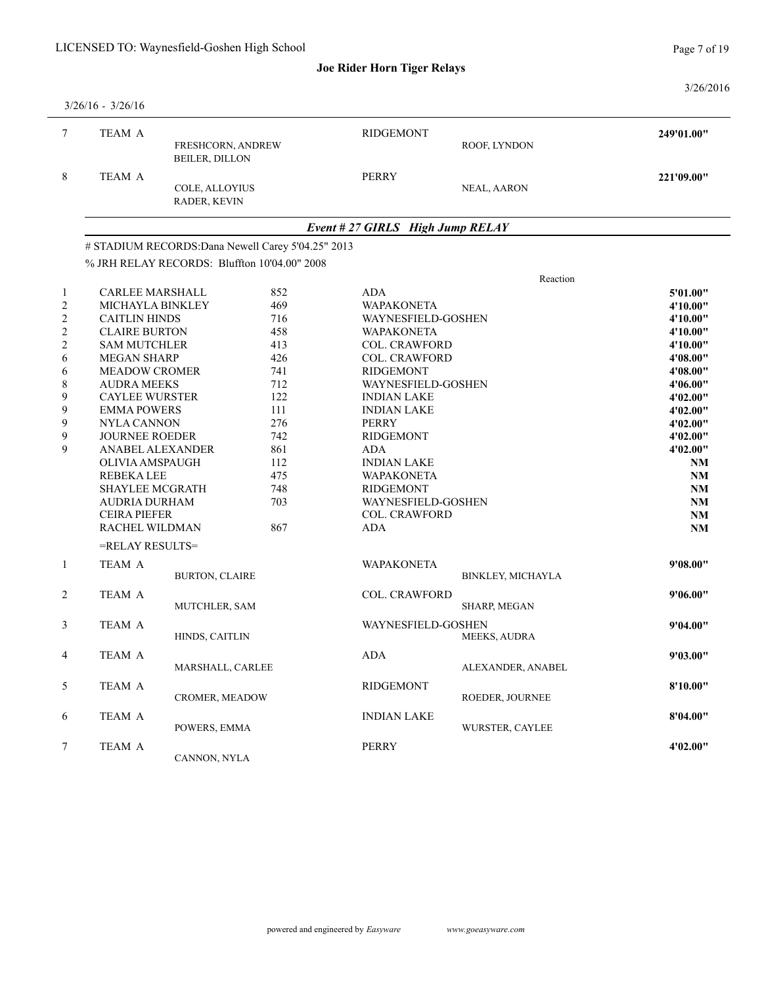Page 7 of 19

3/26/2016

|                | $3/26/16 - 3/26/16$                                |                                                    |     |                                  |                                |            |  |
|----------------|----------------------------------------------------|----------------------------------------------------|-----|----------------------------------|--------------------------------|------------|--|
| $\tau$         | TEAM A                                             | FRESHCORN, ANDREW<br><b>BEILER, DILLON</b>         |     | <b>RIDGEMONT</b>                 | ROOF, LYNDON                   | 249'01.00" |  |
| 8              | TEAM A                                             | COLE, ALLOYIUS<br>RADER, KEVIN                     |     | <b>PERRY</b>                     | NEAL, AARON                    | 221'09.00" |  |
|                |                                                    |                                                    |     | Event # 27 GIRLS High Jump RELAY |                                |            |  |
|                |                                                    | # STADIUM RECORDS: Dana Newell Carey 5'04.25" 2013 |     |                                  |                                |            |  |
|                |                                                    | % JRH RELAY RECORDS: Bluffton 10'04.00" 2008       |     |                                  |                                |            |  |
|                |                                                    |                                                    |     |                                  | Reaction                       |            |  |
| -1             | CARLEE MARSHALL                                    |                                                    | 852 | ADA                              |                                | 5'01.00"   |  |
| $\overline{c}$ | MICHAYLA BINKLEY                                   |                                                    | 469 | <b>WAPAKONETA</b>                |                                | 4'10.00"   |  |
| $\sqrt{2}$     | <b>CAITLIN HINDS</b>                               |                                                    | 716 | WAYNESFIELD-GOSHEN               |                                | 4'10.00"   |  |
| $\overline{c}$ | <b>CLAIRE BURTON</b>                               |                                                    | 458 | <b>WAPAKONETA</b>                |                                | 4'10.00"   |  |
| $\overline{c}$ | <b>SAM MUTCHLER</b>                                |                                                    | 413 | <b>COL. CRAWFORD</b>             |                                | 4'10.00"   |  |
| $\sqrt{6}$     | <b>MEGAN SHARP</b>                                 |                                                    | 426 | COL. CRAWFORD                    |                                | 4'08.00"   |  |
| 6              | <b>MEADOW CROMER</b>                               |                                                    | 741 | <b>RIDGEMONT</b>                 |                                | 4'08.00"   |  |
| $8\,$          | <b>AUDRA MEEKS</b><br>712                          |                                                    |     |                                  | WAYNESFIELD-GOSHEN<br>4'06.00" |            |  |
| 9              | 122<br><b>CAYLEE WURSTER</b><br><b>INDIAN LAKE</b> |                                                    |     |                                  |                                | 4'02.00"   |  |
| 9              | <b>EMMA POWERS</b>                                 |                                                    | 111 | <b>INDIAN LAKE</b>               |                                | 4'02.00"   |  |
| 9              | NYLA CANNON                                        |                                                    | 276 | <b>PERRY</b>                     |                                | 4'02.00"   |  |
| 9              | <b>JOURNEE ROEDER</b>                              |                                                    | 742 | <b>RIDGEMONT</b>                 |                                | 4'02.00"   |  |
| 9              | ANABEL ALEXANDER                                   |                                                    | 861 | ADA                              |                                | 4'02.00"   |  |
|                | OLIVIA AMSPAUGH                                    |                                                    | 112 | <b>INDIAN LAKE</b>               |                                | <b>NM</b>  |  |
|                | <b>REBEKALEE</b>                                   |                                                    | 475 | <b>WAPAKONETA</b>                |                                | NM         |  |
|                | <b>SHAYLEE MCGRATH</b>                             |                                                    | 748 | <b>RIDGEMONT</b>                 |                                | <b>NM</b>  |  |
|                | AUDRIA DURHAM                                      |                                                    | 703 | WAYNESFIELD-GOSHEN               |                                | NM         |  |
|                | <b>CEIRA PIEFER</b>                                |                                                    |     | <b>COL. CRAWFORD</b>             |                                | <b>NM</b>  |  |
|                | RACHEL WILDMAN                                     |                                                    | 867 | <b>ADA</b>                       |                                | NM         |  |
|                | =RELAY RESULTS=                                    |                                                    |     |                                  |                                |            |  |
| $\mathbf{1}$   | TEAM A                                             |                                                    |     | <b>WAPAKONETA</b>                |                                | 9'08.00"   |  |
|                |                                                    | <b>BURTON, CLAIRE</b>                              |     |                                  | BINKLEY, MICHAYLA              |            |  |
| 2              | TEAM A                                             |                                                    |     | COL. CRAWFORD                    |                                | 9'06.00"   |  |
|                |                                                    | MUTCHLER, SAM                                      |     |                                  | SHARP, MEGAN                   |            |  |
| 3              | TEAM A                                             |                                                    |     | WAYNESFIELD-GOSHEN               |                                | 9'04.00"   |  |
|                |                                                    | HINDS, CAITLIN                                     |     |                                  | <b>MEEKS, AUDRA</b>            |            |  |
| $\overline{4}$ | TEAM A                                             |                                                    |     | ADA                              |                                | 9'03.00"   |  |
|                |                                                    | MARSHALL, CARLEE                                   |     |                                  | ALEXANDER, ANABEL              |            |  |
| $\mathfrak{S}$ | TEAM A                                             |                                                    |     | <b>RIDGEMONT</b>                 |                                | 8'10.00"   |  |
|                |                                                    | <b>CROMER, MEADOW</b>                              |     |                                  | ROEDER, JOURNEE                |            |  |
| 6              | TEAM A                                             |                                                    |     | INDIAN LAKE                      |                                | 8'04.00"   |  |
|                |                                                    | POWERS, EMMA                                       |     |                                  | WURSTER, CAYLEE                |            |  |
| 7              | TEAM A                                             |                                                    |     | <b>PERRY</b>                     |                                | 4'02.00"   |  |
|                |                                                    | CANNON, NYLA                                       |     |                                  |                                |            |  |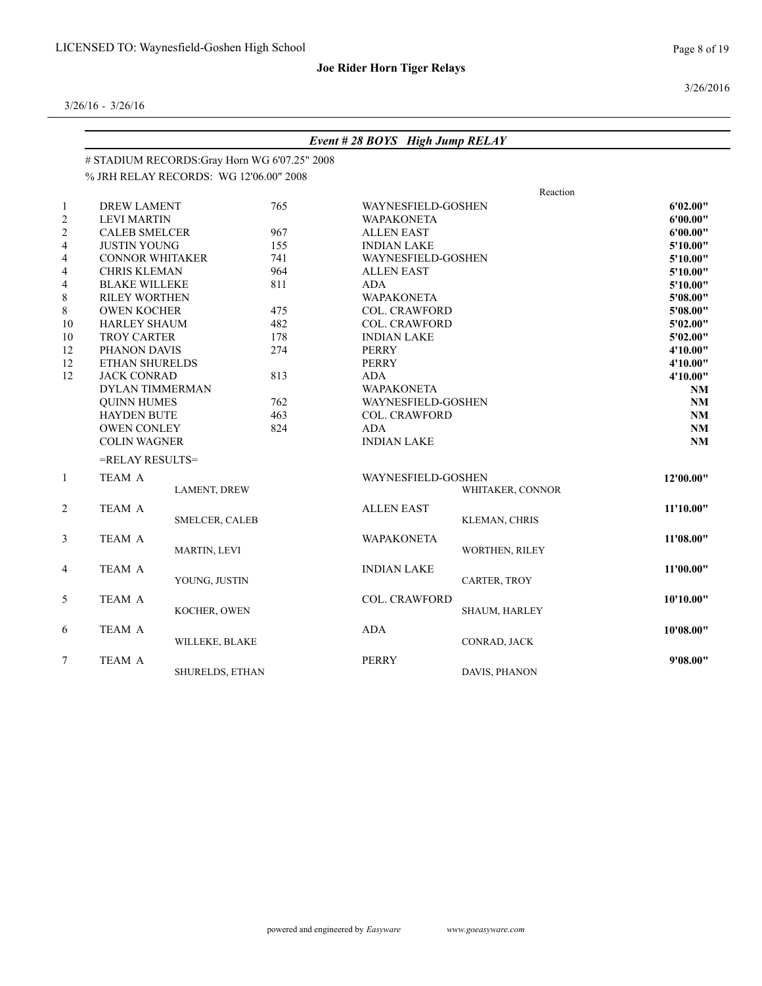Page 8 of 19

3/26/2016

|                | Event #28 BOYS High Jump RELAY<br># STADIUM RECORDS: Gray Horn WG 6'07.25" 2008 |                                        |     |                      |                             |           |  |  |  |
|----------------|---------------------------------------------------------------------------------|----------------------------------------|-----|----------------------|-----------------------------|-----------|--|--|--|
|                |                                                                                 |                                        |     |                      |                             |           |  |  |  |
|                |                                                                                 | % JRH RELAY RECORDS: WG 12'06.00" 2008 |     |                      |                             |           |  |  |  |
|                |                                                                                 |                                        |     |                      | Reaction                    |           |  |  |  |
|                | <b>DREW LAMENT</b>                                                              |                                        | 765 | WAYNESFIELD-GOSHEN   |                             | 6'02.00"  |  |  |  |
| $\overline{c}$ | <b>LEVI MARTIN</b>                                                              |                                        |     | <b>WAPAKONETA</b>    |                             | 6'00.00"  |  |  |  |
|                | <b>CALEB SMELCER</b>                                                            |                                        | 967 | <b>ALLEN EAST</b>    |                             | 6'00.00"  |  |  |  |
| 4              | <b>JUSTIN YOUNG</b>                                                             |                                        | 155 | <b>INDIAN LAKE</b>   |                             | 5'10.00"  |  |  |  |
| 4              | <b>CONNOR WHITAKER</b>                                                          |                                        | 741 | WAYNESFIELD-GOSHEN   |                             | 5'10.00"  |  |  |  |
| 4              | <b>CHRIS KLEMAN</b>                                                             |                                        | 964 | <b>ALLEN EAST</b>    |                             | 5'10.00"  |  |  |  |
| 4              | <b>BLAKE WILLEKE</b>                                                            |                                        | 811 | ADA                  |                             | 5'10.00"  |  |  |  |
| 8              | RILEY WORTHEN                                                                   |                                        |     | <b>WAPAKONETA</b>    |                             | 5'08.00"  |  |  |  |
| 8              | <b>OWEN KOCHER</b>                                                              |                                        | 475 | <b>COL. CRAWFORD</b> |                             | 5'08.00"  |  |  |  |
| $10\,$         | <b>HARLEY SHAUM</b>                                                             |                                        | 482 | <b>COL. CRAWFORD</b> |                             | 5'02.00"  |  |  |  |
| $10\,$         | TROY CARTER                                                                     |                                        | 178 | <b>INDIAN LAKE</b>   |                             |           |  |  |  |
| 12             | PHANON DAVIS                                                                    |                                        | 274 | PERRY                | 4'10.00"                    |           |  |  |  |
| 12             | ETHAN SHURELDS                                                                  |                                        |     | <b>PERRY</b>         |                             |           |  |  |  |
| 12             | <b>JACK CONRAD</b>                                                              |                                        | 813 | <b>ADA</b>           |                             |           |  |  |  |
|                | DYLAN TIMMERMAN                                                                 |                                        |     | <b>WAPAKONETA</b>    | WAYNESFIELD-GOSHEN          |           |  |  |  |
|                | <b>OUINN HUMES</b>                                                              |                                        | 762 |                      |                             |           |  |  |  |
|                | <b>HAYDEN BUTE</b>                                                              |                                        | 463 |                      | <b>COL. CRAWFORD</b><br>ADA |           |  |  |  |
|                | OWEN CONLEY                                                                     |                                        | 824 |                      |                             |           |  |  |  |
|                | <b>COLIN WAGNER</b>                                                             |                                        |     | <b>INDIAN LAKE</b>   |                             | NM        |  |  |  |
|                | =RELAY RESULTS=                                                                 |                                        |     |                      |                             |           |  |  |  |
| $\mathbf{1}$   | TEAM A                                                                          |                                        |     | WAYNESFIELD-GOSHEN   |                             | 12'00.00" |  |  |  |
|                |                                                                                 | LAMENT, DREW                           |     |                      | WHITAKER, CONNOR            |           |  |  |  |
| $\overline{c}$ | TEAM A                                                                          |                                        |     | <b>ALLEN EAST</b>    | 11'10.00"                   |           |  |  |  |
|                |                                                                                 | SMELCER, CALEB                         |     |                      | KLEMAN, CHRIS               |           |  |  |  |
| 3              | TEAM A                                                                          |                                        |     | <b>WAPAKONETA</b>    |                             | 11'08.00" |  |  |  |
|                |                                                                                 | MARTIN, LEVI                           |     |                      | WORTHEN, RILEY              |           |  |  |  |
|                |                                                                                 |                                        |     |                      |                             |           |  |  |  |
| 4              | TEAM A                                                                          | YOUNG, JUSTIN                          |     | <b>INDIAN LAKE</b>   | CARTER, TROY                | 11'00.00" |  |  |  |
|                |                                                                                 |                                        |     |                      |                             |           |  |  |  |
| 5              | TEAM A                                                                          |                                        |     | COL. CRAWFORD        |                             | 10'10.00" |  |  |  |
|                |                                                                                 | KOCHER, OWEN                           |     |                      | SHAUM, HARLEY               |           |  |  |  |
| 6              | TEAM A                                                                          |                                        |     | ADA                  |                             | 10'08.00" |  |  |  |
|                |                                                                                 | WILLEKE, BLAKE                         |     |                      | CONRAD, JACK                |           |  |  |  |
| 7              | TEAM A                                                                          |                                        |     | <b>PERRY</b>         |                             | 9'08.00"  |  |  |  |
|                |                                                                                 | SHURELDS, ETHAN                        |     |                      | DAVIS, PHANON               |           |  |  |  |
|                |                                                                                 |                                        |     |                      |                             |           |  |  |  |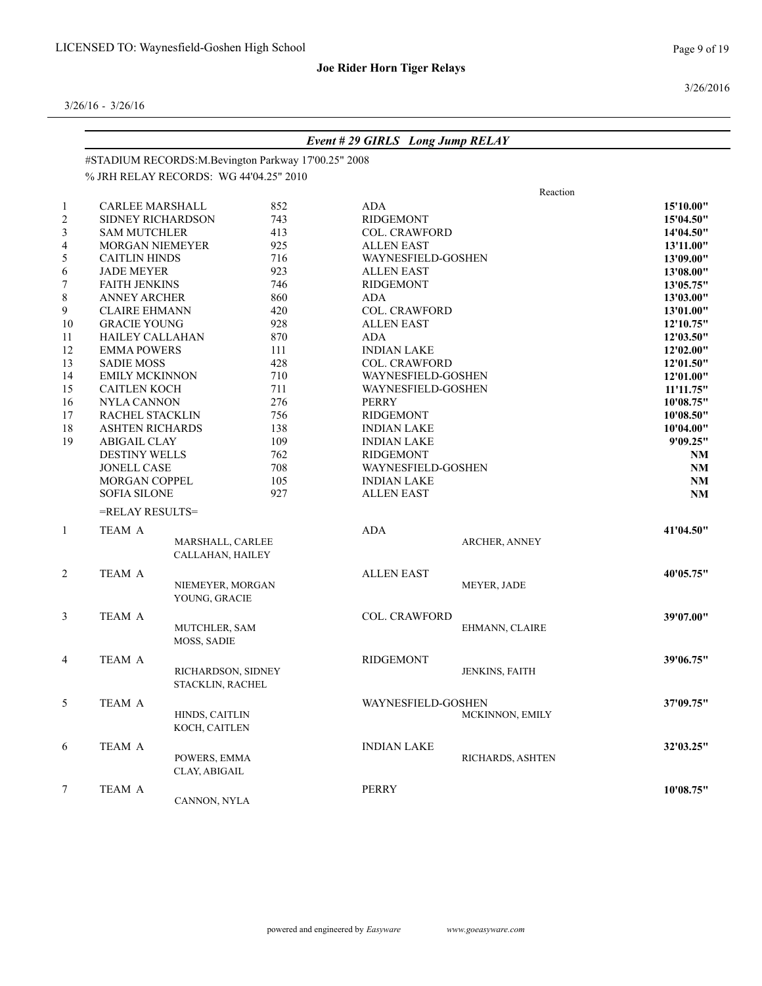3/26/2016

|                |                        |                                        |                                                     | <b>Event #29 GIRLS Long Jump RELAY</b> |                      |                        |
|----------------|------------------------|----------------------------------------|-----------------------------------------------------|----------------------------------------|----------------------|------------------------|
|                |                        |                                        | #STADIUM RECORDS:M.Bevington Parkway 17'00.25" 2008 |                                        |                      |                        |
|                |                        | % JRH RELAY RECORDS: WG 44'04.25" 2010 |                                                     |                                        |                      |                        |
|                |                        |                                        |                                                     |                                        | Reaction             |                        |
| 1              | <b>CARLEE MARSHALL</b> |                                        | 852                                                 | ADA                                    |                      | 15'10.00"              |
| $\overline{c}$ | SIDNEY RICHARDSON      |                                        | 743                                                 | <b>RIDGEMONT</b>                       |                      | 15'04.50"              |
|                | <b>SAM MUTCHLER</b>    |                                        | 413                                                 | <b>COL. CRAWFORD</b>                   |                      | 14'04.50"              |
| 4              | MORGAN NIEMEYER        |                                        | 925                                                 | <b>ALLEN EAST</b>                      |                      | 13'11.00"              |
| 5              | <b>CAITLIN HINDS</b>   |                                        | 716                                                 | WAYNESFIELD-GOSHEN                     |                      | 13'09.00"              |
| 6              | <b>JADE MEYER</b>      |                                        | 923                                                 | <b>ALLEN EAST</b>                      |                      | 13'08.00"              |
| 7              | <b>FAITH JENKINS</b>   |                                        | 746                                                 | <b>RIDGEMONT</b>                       |                      | 13'05.75"              |
| 8              | <b>ANNEY ARCHER</b>    |                                        | 860                                                 | ADA                                    |                      | 13'03.00"              |
| 9              | <b>CLAIRE EHMANN</b>   |                                        | 420                                                 | <b>COL. CRAWFORD</b>                   |                      | 13'01.00"              |
| $10\,$         | <b>GRACIE YOUNG</b>    |                                        | 928                                                 | <b>ALLEN EAST</b>                      |                      | 12'10.75"              |
| 11             | <b>HAILEY CALLAHAN</b> |                                        | 870                                                 | ADA                                    |                      | 12'03.50"              |
| 12             | <b>EMMA POWERS</b>     |                                        | 111                                                 | <b>INDIAN LAKE</b>                     |                      | 12'02.00"              |
| 13             | <b>SADIE MOSS</b>      |                                        | 428                                                 | <b>COL. CRAWFORD</b>                   |                      | 12'01.50"              |
| 14             | <b>EMILY MCKINNON</b>  |                                        | 710                                                 | WAYNESFIELD-GOSHEN                     |                      | 12'01.00"              |
| 15             | <b>CAITLEN KOCH</b>    |                                        | 711                                                 |                                        | WAYNESFIELD-GOSHEN   |                        |
| 16             | <b>NYLA CANNON</b>     |                                        | 276                                                 |                                        | PERRY                |                        |
| 17             | RACHEL STACKLIN        |                                        | 756                                                 | <b>RIDGEMONT</b>                       |                      | 10'08.75"<br>10'08.50" |
| 18             | <b>ASHTEN RICHARDS</b> |                                        | 138                                                 | <b>INDIAN LAKE</b>                     |                      | 10'04.00"              |
| 19             | <b>ABIGAIL CLAY</b>    |                                        | 109                                                 | <b>INDIAN LAKE</b>                     |                      | 9'09.25"               |
|                | <b>DESTINY WELLS</b>   |                                        | 762                                                 | <b>RIDGEMONT</b>                       |                      | <b>NM</b>              |
|                | <b>JONELL CASE</b>     |                                        | 708                                                 | WAYNESFIELD-GOSHEN                     |                      | <b>NM</b>              |
|                | <b>MORGAN COPPEL</b>   |                                        | 105                                                 | <b>INDIAN LAKE</b>                     |                      | NM                     |
|                | <b>SOFIA SILONE</b>    |                                        | 927                                                 | <b>ALLEN EAST</b>                      |                      | <b>NM</b>              |
|                | =RELAY RESULTS=        |                                        |                                                     |                                        |                      |                        |
|                |                        |                                        |                                                     |                                        |                      |                        |
| $\mathbf{1}$   | TEAM A                 | MARSHALL, CARLEE                       |                                                     | ADA                                    | <b>ARCHER, ANNEY</b> | 41'04.50"              |
|                |                        | CALLAHAN, HAILEY                       |                                                     |                                        |                      |                        |
|                |                        |                                        |                                                     |                                        |                      |                        |
| 2              | TEAM A                 |                                        |                                                     | <b>ALLEN EAST</b>                      |                      | 40'05.75"              |
|                |                        | NIEMEYER, MORGAN                       |                                                     |                                        | MEYER, JADE          |                        |
|                |                        | YOUNG, GRACIE                          |                                                     |                                        |                      |                        |
| 3              | TEAM A                 |                                        |                                                     | <b>COL. CRAWFORD</b>                   |                      | 39'07.00"              |
|                |                        | MUTCHLER, SAM                          |                                                     |                                        | EHMANN, CLAIRE       |                        |
|                |                        | MOSS, SADIE                            |                                                     |                                        |                      |                        |
| 4              | <b>TEAM A</b>          |                                        |                                                     | <b>RIDGEMONT</b>                       |                      | 39'06.75"              |
|                |                        | RICHARDSON, SIDNEY                     |                                                     |                                        | JENKINS, FAITH       |                        |
|                |                        | STACKLIN, RACHEL                       |                                                     |                                        |                      |                        |
|                |                        |                                        |                                                     |                                        |                      |                        |
| 5              | TEAM A                 |                                        |                                                     | WAYNESFIELD-GOSHEN                     |                      | 37'09.75"              |
|                |                        | HINDS, CAITLIN                         |                                                     |                                        | MCKINNON, EMILY      |                        |
|                |                        | KOCH, CAITLEN                          |                                                     |                                        |                      |                        |
| 6              | TEAM A                 |                                        |                                                     | <b>INDIAN LAKE</b>                     |                      | 32'03.25"              |
|                |                        | POWERS, EMMA                           |                                                     |                                        | RICHARDS, ASHTEN     |                        |
|                |                        | CLAY, ABIGAIL                          |                                                     |                                        |                      |                        |
| 7              | TEAM A                 |                                        |                                                     | PERRY                                  |                      | 10'08.75"              |
|                |                        | CANNON, NYLA                           |                                                     |                                        |                      |                        |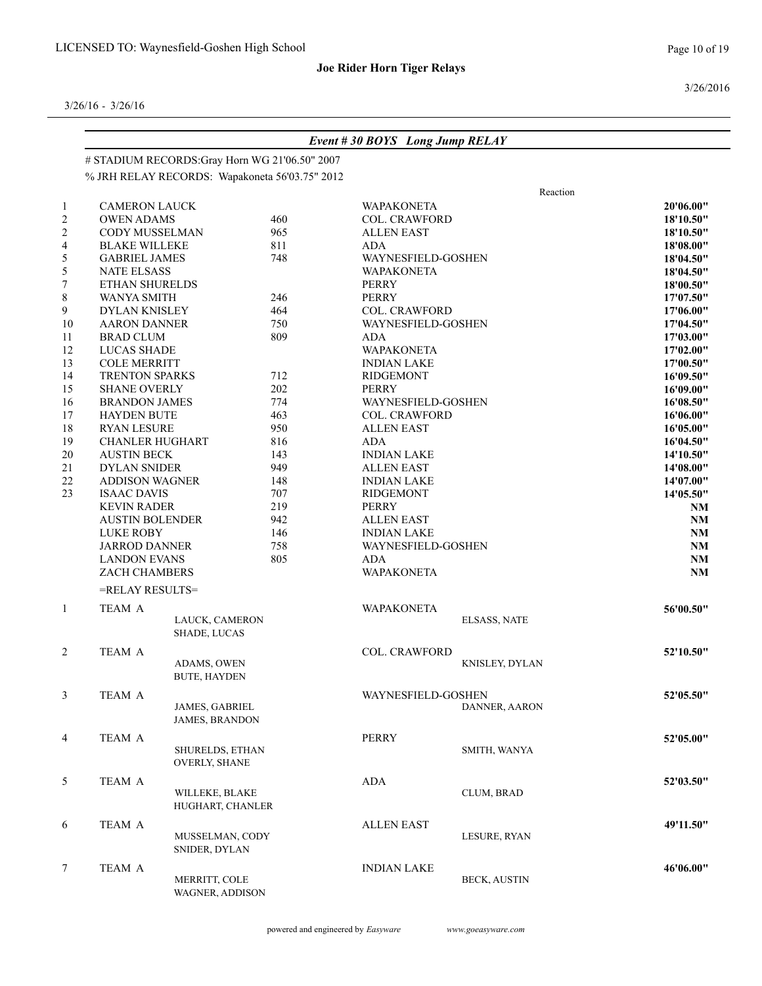3/26/2016

|                |                        |                                                |     | Event #30 BOYS Long Jump RELAY |                      |           |
|----------------|------------------------|------------------------------------------------|-----|--------------------------------|----------------------|-----------|
|                |                        | # STADIUM RECORDS:Gray Horn WG 21'06.50" 2007  |     |                                |                      |           |
|                |                        | % JRH RELAY RECORDS: Wapakoneta 56'03.75" 2012 |     |                                |                      |           |
|                |                        |                                                |     |                                | Reaction             |           |
| $\mathbf{1}$   | <b>CAMERON LAUCK</b>   |                                                |     | <b>WAPAKONETA</b>              |                      | 20'06.00" |
| $\overline{c}$ | <b>OWEN ADAMS</b>      |                                                | 460 | <b>COL. CRAWFORD</b>           |                      | 18'10.50" |
| $\overline{c}$ | CODY MUSSELMAN         |                                                | 965 | <b>ALLEN EAST</b>              |                      | 18'10.50" |
| 4              | <b>BLAKE WILLEKE</b>   |                                                | 811 | <b>ADA</b>                     |                      | 18'08.00" |
| 5              | <b>GABRIEL JAMES</b>   |                                                | 748 | WAYNESFIELD-GOSHEN             |                      | 18'04.50" |
| 5              | <b>NATE ELSASS</b>     |                                                |     | <b>WAPAKONETA</b>              |                      | 18'04.50" |
| $\tau$         | ETHAN SHURELDS         |                                                |     | <b>PERRY</b>                   |                      | 18'00.50" |
| 8              | <b>WANYA SMITH</b>     |                                                | 246 | PERRY                          |                      | 17'07.50" |
| 9              | <b>DYLAN KNISLEY</b>   |                                                | 464 | COL. CRAWFORD                  |                      | 17'06.00" |
| $10\,$         | <b>AARON DANNER</b>    |                                                | 750 | WAYNESFIELD-GOSHEN             |                      | 17'04.50" |
| 11             | <b>BRAD CLUM</b>       |                                                | 809 | ADA                            |                      | 17'03.00" |
| 12             | <b>LUCAS SHADE</b>     |                                                |     | <b>WAPAKONETA</b>              |                      | 17'02.00" |
| 13             | <b>COLE MERRITT</b>    |                                                |     | <b>INDIAN LAKE</b>             |                      | 17'00.50" |
| 14             | <b>TRENTON SPARKS</b>  |                                                | 712 | <b>RIDGEMONT</b>               |                      | 16'09.50" |
| 15             | <b>SHANE OVERLY</b>    |                                                | 202 | <b>PERRY</b>                   |                      | 16'09.00" |
| 16             | <b>BRANDON JAMES</b>   |                                                | 774 | WAYNESFIELD-GOSHEN             |                      | 16'08.50" |
| 17             | <b>HAYDEN BUTE</b>     |                                                | 463 | <b>COL. CRAWFORD</b>           |                      | 16'06.00" |
| 18             | <b>RYAN LESURE</b>     |                                                | 950 | <b>ALLEN EAST</b>              |                      | 16'05.00" |
| 19             | <b>CHANLER HUGHART</b> |                                                | 816 | <b>ADA</b>                     |                      | 16'04.50" |
| 20             | <b>AUSTIN BECK</b>     |                                                | 143 | <b>INDIAN LAKE</b>             |                      | 14'10.50" |
| 21             | <b>DYLAN SNIDER</b>    |                                                | 949 | <b>ALLEN EAST</b>              |                      | 14'08.00" |
| $22\,$         | <b>ADDISON WAGNER</b>  |                                                | 148 | <b>INDIAN LAKE</b>             | 14'07.00"            |           |
| 23             | <b>ISAAC DAVIS</b>     |                                                | 707 | <b>RIDGEMONT</b>               |                      | 14'05.50" |
|                | <b>KEVIN RADER</b>     |                                                | 219 | PERRY                          |                      | <b>NM</b> |
|                | <b>AUSTIN BOLENDER</b> |                                                | 942 | <b>ALLEN EAST</b>              |                      | NM        |
|                | <b>LUKE ROBY</b>       |                                                | 146 | <b>INDIAN LAKE</b>             |                      | <b>NM</b> |
|                | <b>JARROD DANNER</b>   |                                                | 758 | WAYNESFIELD-GOSHEN             |                      | <b>NM</b> |
|                | <b>LANDON EVANS</b>    |                                                | 805 | <b>ADA</b>                     |                      | NM        |
|                | ZACH CHAMBERS          |                                                |     | WAPAKONETA                     |                      | NM        |
|                | =RELAY RESULTS=        |                                                |     |                                |                      |           |
| $\mathbf{1}$   | TEAM A                 |                                                |     | <b>WAPAKONETA</b>              |                      | 56'00.50" |
|                |                        | LAUCK, CAMERON                                 |     |                                | <b>ELSASS, NATE</b>  |           |
|                |                        | SHADE, LUCAS                                   |     |                                |                      |           |
| $\overline{c}$ | TEAM A                 |                                                |     | <b>COL. CRAWFORD</b>           |                      | 52'10.50" |
|                |                        | ADAMS, OWEN                                    |     |                                | KNISLEY, DYLAN       |           |
|                |                        | <b>BUTE, HAYDEN</b>                            |     |                                |                      |           |
| 3              | TEAM A                 |                                                |     | WAYNESFIELD-GOSHEN             |                      | 52'05.50" |
|                |                        | <b>JAMES, GABRIEL</b>                          |     |                                | <b>DANNER, AARON</b> |           |
|                |                        | <b>JAMES, BRANDON</b>                          |     |                                |                      |           |
|                |                        |                                                |     |                                |                      |           |
| $\overline{4}$ | TEAM A                 | SHURELDS, ETHAN                                |     | PERRY                          | SMITH, WANYA         | 52'05.00" |
|                |                        | <b>OVERLY, SHANE</b>                           |     |                                |                      |           |
|                |                        |                                                |     |                                |                      |           |
| 5              | TEAM A                 |                                                |     | ADA                            |                      | 52'03.50" |
|                |                        | WILLEKE, BLAKE                                 |     |                                | CLUM, BRAD           |           |
|                |                        | HUGHART, CHANLER                               |     |                                |                      |           |
| 6              | TEAM A                 |                                                |     | <b>ALLEN EAST</b>              |                      | 49'11.50" |
|                |                        | MUSSELMAN, CODY                                |     |                                | LESURE, RYAN         |           |
|                |                        | SNIDER, DYLAN                                  |     |                                |                      |           |
| $\tau$         | TEAM A                 |                                                |     | <b>INDIAN LAKE</b>             |                      | 46'06.00" |
|                |                        | MERRITT, COLE                                  |     |                                | <b>BECK, AUSTIN</b>  |           |
|                |                        | WAGNER, ADDISON                                |     |                                |                      |           |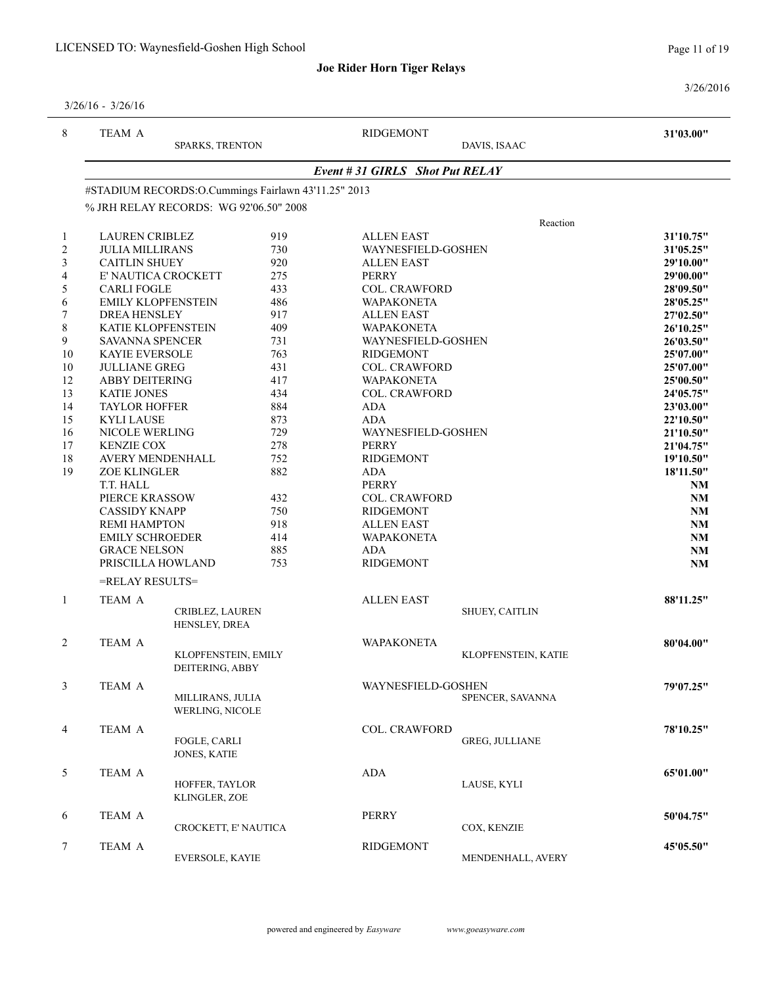Page 11 of 19

3/26/2016

| $3/26/16 - 3/26/16$ |  |
|---------------------|--|
|                     |  |

| 8                | TEAM A<br><b>SPARKS, TRENTON</b>       |                                                     | <b>RIDGEMONT</b><br>DAVIS, ISAAC |                                          | 31'03.00"             |           |  |  |
|------------------|----------------------------------------|-----------------------------------------------------|----------------------------------|------------------------------------------|-----------------------|-----------|--|--|
|                  |                                        | Event # 31 GIRLS Shot Put RELAY                     |                                  |                                          |                       |           |  |  |
|                  |                                        | #STADIUM RECORDS:O.Cummings Fairlawn 43'11.25" 2013 |                                  |                                          |                       |           |  |  |
|                  |                                        | % JRH RELAY RECORDS: WG 92'06.50" 2008              |                                  |                                          |                       |           |  |  |
|                  |                                        |                                                     |                                  |                                          | Reaction              |           |  |  |
| $\mathbf{1}$     | <b>LAUREN CRIBLEZ</b>                  |                                                     | 919                              | <b>ALLEN EAST</b>                        |                       | 31'10.75" |  |  |
| $\overline{c}$   | <b>JULIA MILLIRANS</b>                 |                                                     | 730                              | WAYNESFIELD-GOSHEN                       |                       | 31'05.25" |  |  |
| $\mathfrak{Z}$   | <b>CAITLIN SHUEY</b>                   |                                                     | 920                              | <b>ALLEN EAST</b>                        |                       | 29'10.00" |  |  |
| $\overline{4}$   | E' NAUTICA CROCKETT                    |                                                     | 275                              | <b>PERRY</b>                             |                       | 29'00.00" |  |  |
| $\sqrt{5}$       | <b>CARLI FOGLE</b>                     |                                                     | 433                              | <b>COL. CRAWFORD</b>                     |                       | 28'09.50" |  |  |
| 6                | <b>EMILY KLOPFENSTEIN</b>              |                                                     | 486                              | <b>WAPAKONETA</b>                        |                       | 28'05.25" |  |  |
| $\boldsymbol{7}$ | <b>DREA HENSLEY</b>                    |                                                     | 917                              | <b>ALLEN EAST</b>                        |                       | 27'02.50" |  |  |
| $8\,$            | KATIE KLOPFENSTEIN                     |                                                     | 409                              | <b>WAPAKONETA</b>                        |                       | 26'10.25" |  |  |
| 9                | SAVANNA SPENCER                        |                                                     | 731                              | WAYNESFIELD-GOSHEN                       |                       | 26'03.50" |  |  |
| 10               | KAYIE EVERSOLE                         |                                                     | 763                              | <b>RIDGEMONT</b>                         |                       | 25'07.00" |  |  |
| 10               | <b>JULLIANE GREG</b>                   |                                                     | 431                              | COL. CRAWFORD                            |                       | 25'07.00" |  |  |
| 12               | <b>ABBY DEITERING</b>                  |                                                     | 417                              | WAPAKONETA                               |                       | 25'00.50" |  |  |
| 13               | <b>KATIE JONES</b>                     |                                                     | 434                              | <b>COL. CRAWFORD</b>                     |                       | 24'05.75" |  |  |
| 14               | <b>TAYLOR HOFFER</b>                   |                                                     | 884                              | ADA                                      |                       | 23'03.00" |  |  |
| 15               | <b>KYLI LAUSE</b>                      |                                                     | 873                              | <b>ADA</b>                               |                       | 22'10.50" |  |  |
| 16               | NICOLE WERLING                         |                                                     | 729                              | WAYNESFIELD-GOSHEN                       |                       | 21'10.50" |  |  |
| 17               | <b>KENZIE COX</b>                      |                                                     | 278                              | PERRY                                    |                       | 21'04.75" |  |  |
| 18               | AVERY MENDENHALL                       |                                                     | 752                              | <b>RIDGEMONT</b>                         |                       | 19'10.50" |  |  |
| 19               | <b>ZOE KLINGLER</b>                    |                                                     | 882                              | ADA                                      |                       | 18'11.50" |  |  |
|                  | T.T. HALL                              |                                                     |                                  | <b>PERRY</b>                             |                       | <b>NM</b> |  |  |
|                  | PIERCE KRASSOW<br><b>CASSIDY KNAPP</b> |                                                     | 432<br>750                       | <b>COL. CRAWFORD</b><br><b>RIDGEMONT</b> |                       | NM<br>NM  |  |  |
|                  | <b>REMI HAMPTON</b>                    |                                                     | 918                              | <b>ALLEN EAST</b>                        |                       | NM        |  |  |
|                  | <b>EMILY SCHROEDER</b>                 |                                                     | 414                              | <b>WAPAKONETA</b>                        |                       | NM        |  |  |
|                  | <b>GRACE NELSON</b>                    |                                                     | 885                              | ADA                                      |                       | NM        |  |  |
|                  | PRISCILLA HOWLAND                      |                                                     | 753                              | <b>RIDGEMONT</b>                         |                       | NM        |  |  |
|                  | =RELAY RESULTS=                        |                                                     |                                  |                                          |                       |           |  |  |
|                  |                                        |                                                     |                                  |                                          |                       |           |  |  |
| $\mathbf{1}$     | TEAM A                                 | CRIBLEZ, LAUREN                                     |                                  | <b>ALLEN EAST</b>                        | <b>SHUEY, CAITLIN</b> | 88'11.25" |  |  |
|                  |                                        | HENSLEY, DREA                                       |                                  |                                          |                       |           |  |  |
| 2                | TEAM A                                 |                                                     |                                  | <b>WAPAKONETA</b>                        |                       | 80'04.00" |  |  |
|                  |                                        | KLOPFENSTEIN, EMILY                                 |                                  |                                          | KLOPFENSTEIN, KATIE   |           |  |  |
|                  |                                        | DEITERING, ABBY                                     |                                  |                                          |                       |           |  |  |
| 3                | TEAM A                                 |                                                     |                                  | WAYNESFIELD-GOSHEN                       |                       | 79'07.25" |  |  |
|                  |                                        | MILLIRANS, JULIA                                    |                                  |                                          | SPENCER, SAVANNA      |           |  |  |
|                  |                                        | <b>WERLING, NICOLE</b>                              |                                  |                                          |                       |           |  |  |
| $\overline{4}$   | TEAM A                                 |                                                     |                                  | <b>COL. CRAWFORD</b>                     |                       | 78'10.25" |  |  |
|                  |                                        | FOGLE, CARLI                                        |                                  |                                          | <b>GREG, JULLIANE</b> |           |  |  |
|                  |                                        | JONES, KATIE                                        |                                  |                                          |                       |           |  |  |
| 5                | TEAM A                                 |                                                     |                                  | ADA                                      |                       | 65'01.00" |  |  |
|                  |                                        | HOFFER, TAYLOR                                      |                                  |                                          | LAUSE, KYLI           |           |  |  |
|                  |                                        | KLINGLER, ZOE                                       |                                  |                                          |                       |           |  |  |
| 6                | TEAM A                                 |                                                     |                                  | PERRY                                    |                       | 50'04.75" |  |  |
|                  |                                        | CROCKETT, E' NAUTICA                                |                                  |                                          | COX, KENZIE           |           |  |  |
|                  | TEAM A                                 |                                                     |                                  | <b>RIDGEMONT</b>                         |                       | 45'05.50" |  |  |
| 7                |                                        | EVERSOLE, KAYIE                                     |                                  |                                          | MENDENHALL, AVERY     |           |  |  |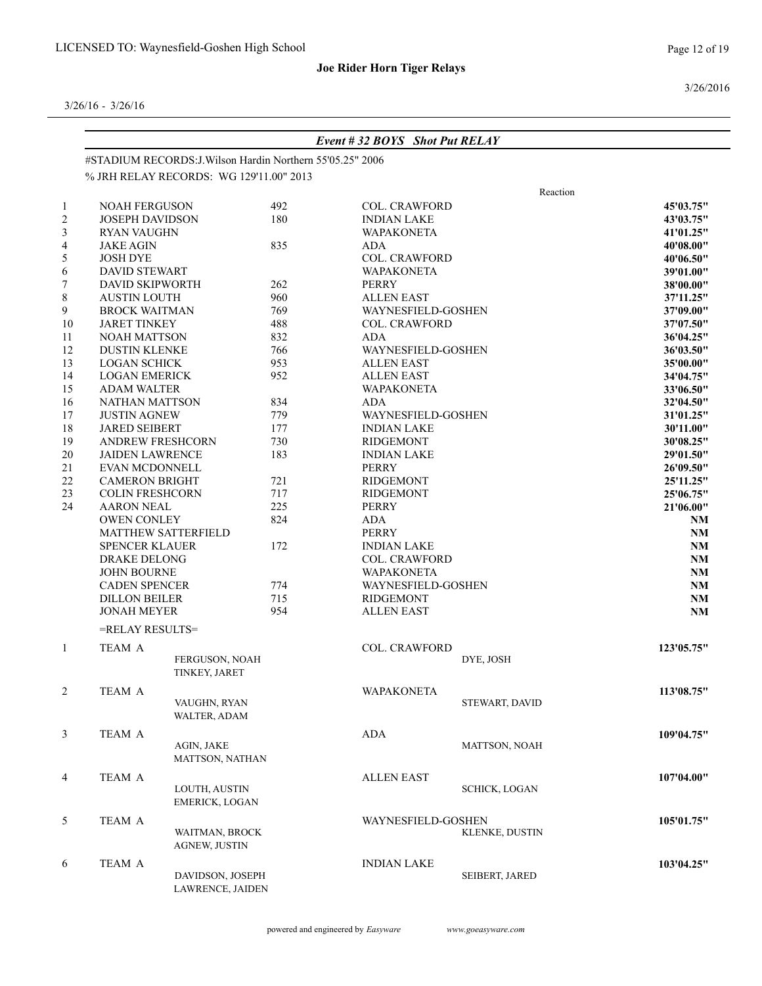3/26/2016

|                |                         |                                                            |     | Event #32 BOYS Shot Put RELAY |                      |            |
|----------------|-------------------------|------------------------------------------------------------|-----|-------------------------------|----------------------|------------|
|                |                         | #STADIUM RECORDS: J. Wilson Hardin Northern 55'05.25" 2006 |     |                               |                      |            |
|                |                         | % JRH RELAY RECORDS: WG 129'11.00" 2013                    |     |                               |                      |            |
|                |                         |                                                            |     |                               | Reaction             |            |
| $\mathbf{1}$   | <b>NOAH FERGUSON</b>    |                                                            | 492 | <b>COL. CRAWFORD</b>          |                      | 45'03.75"  |
| $\overline{c}$ | <b>JOSEPH DAVIDSON</b>  |                                                            | 180 | <b>INDIAN LAKE</b>            |                      | 43'03.75"  |
| 3              | <b>RYAN VAUGHN</b>      |                                                            |     | <b>WAPAKONETA</b>             |                      | 41'01.25"  |
| $\overline{4}$ | <b>JAKE AGIN</b>        |                                                            | 835 | ADA                           |                      | 40'08.00"  |
| 5              | <b>JOSH DYE</b>         |                                                            |     | <b>COL. CRAWFORD</b>          |                      | 40'06.50"  |
| 6              | <b>DAVID STEWART</b>    |                                                            |     | <b>WAPAKONETA</b>             |                      | 39'01.00"  |
| 7              | <b>DAVID SKIPWORTH</b>  |                                                            | 262 | PERRY                         |                      | 38'00.00"  |
| 8              | <b>AUSTIN LOUTH</b>     |                                                            | 960 | <b>ALLEN EAST</b>             |                      | 37'11.25"  |
| 9              | <b>BROCK WAITMAN</b>    |                                                            | 769 | WAYNESFIELD-GOSHEN            |                      | 37'09.00"  |
| 10             | <b>JARET TINKEY</b>     |                                                            | 488 | <b>COL. CRAWFORD</b>          |                      | 37'07.50"  |
| 11             | <b>NOAH MATTSON</b>     |                                                            | 832 | ADA                           |                      | 36'04.25"  |
| 12             | <b>DUSTIN KLENKE</b>    |                                                            | 766 | WAYNESFIELD-GOSHEN            |                      | 36'03.50"  |
| 13             | <b>LOGAN SCHICK</b>     |                                                            | 953 | <b>ALLEN EAST</b>             |                      | 35'00.00"  |
| 14             | <b>LOGAN EMERICK</b>    |                                                            | 952 | <b>ALLEN EAST</b>             |                      | 34'04.75"  |
| 15             | <b>ADAM WALTER</b>      |                                                            |     | <b>WAPAKONETA</b>             |                      | 33'06.50"  |
| 16             | <b>NATHAN MATTSON</b>   |                                                            | 834 | <b>ADA</b>                    |                      | 32'04.50"  |
| 17             | <b>JUSTIN AGNEW</b>     |                                                            | 779 | WAYNESFIELD-GOSHEN            |                      | 31'01.25"  |
| 18             | <b>JARED SEIBERT</b>    |                                                            | 177 | <b>INDIAN LAKE</b>            |                      | 30'11.00"  |
| 19             | <b>ANDREW FRESHCORN</b> |                                                            | 730 | <b>RIDGEMONT</b>              |                      | 30'08.25"  |
| 20             | <b>JAIDEN LAWRENCE</b>  |                                                            | 183 | <b>INDIAN LAKE</b>            |                      | 29'01.50"  |
| 21             | EVAN MCDONNELL          |                                                            |     | <b>PERRY</b>                  |                      | 26'09.50"  |
| $22\,$         | <b>CAMERON BRIGHT</b>   |                                                            | 721 | <b>RIDGEMONT</b>              |                      | 25'11.25"  |
| 23             | <b>COLIN FRESHCORN</b>  |                                                            | 717 | <b>RIDGEMONT</b>              |                      | 25'06.75"  |
| 24             | <b>AARON NEAL</b>       |                                                            | 225 | <b>PERRY</b>                  |                      | 21'06.00"  |
|                | <b>OWEN CONLEY</b>      |                                                            | 824 | <b>ADA</b>                    | NM                   |            |
|                |                         | <b>MATTHEW SATTERFIELD</b>                                 |     | <b>PERRY</b>                  |                      | <b>NM</b>  |
|                | <b>SPENCER KLAUER</b>   |                                                            | 172 | <b>INDIAN LAKE</b>            |                      | NM         |
|                | <b>DRAKE DELONG</b>     |                                                            |     | <b>COL. CRAWFORD</b>          |                      | NM         |
|                | <b>JOHN BOURNE</b>      |                                                            |     | <b>WAPAKONETA</b>             |                      | NM         |
|                | <b>CADEN SPENCER</b>    |                                                            | 774 | WAYNESFIELD-GOSHEN            |                      | NM         |
|                | <b>DILLON BEILER</b>    |                                                            | 715 | <b>RIDGEMONT</b>              |                      | NM         |
|                | <b>JONAH MEYER</b>      |                                                            | 954 | <b>ALLEN EAST</b>             |                      | NM         |
|                |                         |                                                            |     |                               |                      |            |
|                | =RELAY RESULTS=         |                                                            |     |                               |                      |            |
| $\mathbf{1}$   | <b>TEAM A</b>           |                                                            |     | <b>COL. CRAWFORD</b>          |                      | 123'05.75" |
|                |                         | FERGUSON, NOAH                                             |     |                               | DYE, JOSH            |            |
|                |                         | TINKEY, JARET                                              |     |                               |                      |            |
| $\overline{c}$ | TEAM A                  |                                                            |     | <b>WAPAKONETA</b>             |                      | 113'08.75" |
|                |                         | VAUGHN, RYAN                                               |     |                               | STEWART, DAVID       |            |
|                |                         | WALTER, ADAM                                               |     |                               |                      |            |
| $\mathfrak{Z}$ | TEAM A                  |                                                            |     | ADA                           |                      | 109'04.75" |
|                |                         | AGIN, JAKE                                                 |     |                               | <b>MATTSON, NOAH</b> |            |
|                |                         | MATTSON, NATHAN                                            |     |                               |                      |            |
|                | TEAM A                  |                                                            |     |                               |                      |            |
| 4              |                         | LOUTH, AUSTIN                                              |     | <b>ALLEN EAST</b>             | <b>SCHICK, LOGAN</b> | 107'04.00" |
|                |                         | <b>EMERICK, LOGAN</b>                                      |     |                               |                      |            |
|                |                         |                                                            |     |                               |                      |            |
| 5              | TEAM A                  |                                                            |     | WAYNESFIELD-GOSHEN            |                      | 105'01.75" |
|                |                         | WAITMAN, BROCK                                             |     |                               | KLENKE, DUSTIN       |            |
|                |                         | <b>AGNEW, JUSTIN</b>                                       |     |                               |                      |            |
| 6              | TEAM A                  |                                                            |     | <b>INDIAN LAKE</b>            |                      | 103'04.25" |
|                |                         | DAVIDSON, JOSEPH                                           |     |                               | SEIBERT, JARED       |            |
|                |                         | LAWRENCE, JAIDEN                                           |     |                               |                      |            |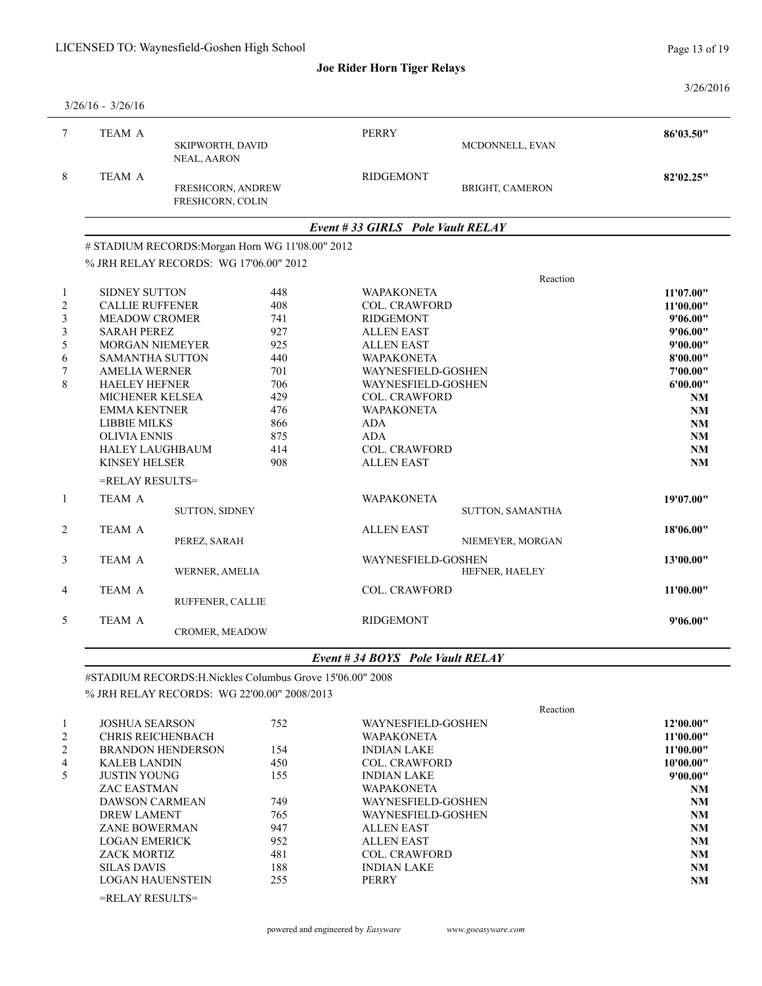3/26/2016

|                                                                                                      | $3/26/16 - 3/26/16$                                                                                                                                                                                                                                                                                                                        |                                                  |                                                                                                |                                                                                                                                                                                                                                                                                         |                        |                                                                                                                                    |
|------------------------------------------------------------------------------------------------------|--------------------------------------------------------------------------------------------------------------------------------------------------------------------------------------------------------------------------------------------------------------------------------------------------------------------------------------------|--------------------------------------------------|------------------------------------------------------------------------------------------------|-----------------------------------------------------------------------------------------------------------------------------------------------------------------------------------------------------------------------------------------------------------------------------------------|------------------------|------------------------------------------------------------------------------------------------------------------------------------|
| $7\overline{ }$                                                                                      | <b>TEAM A</b>                                                                                                                                                                                                                                                                                                                              | SKIPWORTH, DAVID<br>NEAL, AARON                  |                                                                                                | <b>PERRY</b>                                                                                                                                                                                                                                                                            | MCDONNELL, EVAN        | 86'03.50"                                                                                                                          |
| 8                                                                                                    | TEAM A                                                                                                                                                                                                                                                                                                                                     | FRESHCORN, ANDREW<br>FRESHCORN, COLIN            |                                                                                                | <b>RIDGEMONT</b>                                                                                                                                                                                                                                                                        | <b>BRIGHT, CAMERON</b> | 82'02.25"                                                                                                                          |
|                                                                                                      |                                                                                                                                                                                                                                                                                                                                            |                                                  |                                                                                                | Event #33 GIRLS Pole Vault RELAY                                                                                                                                                                                                                                                        |                        |                                                                                                                                    |
|                                                                                                      |                                                                                                                                                                                                                                                                                                                                            | # STADIUM RECORDS: Morgan Horn WG 11'08.00" 2012 |                                                                                                |                                                                                                                                                                                                                                                                                         |                        |                                                                                                                                    |
|                                                                                                      |                                                                                                                                                                                                                                                                                                                                            | % JRH RELAY RECORDS: WG 17'06.00" 2012           |                                                                                                |                                                                                                                                                                                                                                                                                         |                        |                                                                                                                                    |
|                                                                                                      |                                                                                                                                                                                                                                                                                                                                            |                                                  |                                                                                                |                                                                                                                                                                                                                                                                                         | Reaction               |                                                                                                                                    |
| $\mathbf{1}$<br>$\overline{c}$<br>$\overline{\mathbf{3}}$<br>$\mathfrak{Z}$<br>5<br>6<br>$\tau$<br>8 | <b>SIDNEY SUTTON</b><br><b>CALLIE RUFFENER</b><br><b>MEADOW CROMER</b><br><b>SARAH PEREZ</b><br><b>MORGAN NIEMEYER</b><br><b>SAMANTHA SUTTON</b><br><b>AMELIA WERNER</b><br><b>HAELEY HEFNER</b><br>MICHENER KELSEA<br><b>EMMA KENTNER</b><br><b>LIBBIE MILKS</b><br><b>OLIVIA ENNIS</b><br><b>HALEY LAUGHBAUM</b><br><b>KINSEY HELSER</b> |                                                  | 448<br>408<br>741<br>927<br>925<br>440<br>701<br>706<br>429<br>476<br>866<br>875<br>414<br>908 | <b>WAPAKONETA</b><br>COL. CRAWFORD<br><b>RIDGEMONT</b><br><b>ALLEN EAST</b><br><b>ALLEN EAST</b><br><b>WAPAKONETA</b><br>WAYNESFIELD-GOSHEN<br>WAYNESFIELD-GOSHEN<br><b>COL. CRAWFORD</b><br><b>WAPAKONETA</b><br><b>ADA</b><br><b>ADA</b><br><b>COL. CRAWFORD</b><br><b>ALLEN EAST</b> |                        | 11'07.00"<br>11'00.00"<br>9'06.00"<br>9'06.00"<br>9'00.00"<br>8'00.00"<br>7'00.00"<br>6'00.00"<br>NM<br>NM<br>NM<br>NM<br>NM<br>NM |
| $\mathbf{1}$                                                                                         | =RELAY RESULTS=<br>TEAM A                                                                                                                                                                                                                                                                                                                  |                                                  |                                                                                                | <b>WAPAKONETA</b>                                                                                                                                                                                                                                                                       |                        | 19'07.00"                                                                                                                          |
|                                                                                                      |                                                                                                                                                                                                                                                                                                                                            | <b>SUTTON, SIDNEY</b>                            |                                                                                                |                                                                                                                                                                                                                                                                                         | SUTTON, SAMANTHA       |                                                                                                                                    |
| $\overline{c}$                                                                                       | TEAM A                                                                                                                                                                                                                                                                                                                                     | PEREZ, SARAH                                     |                                                                                                | <b>ALLEN EAST</b>                                                                                                                                                                                                                                                                       | NIEMEYER, MORGAN       | 18'06.00"                                                                                                                          |
| 3                                                                                                    | <b>TEAM A</b>                                                                                                                                                                                                                                                                                                                              | WERNER, AMELIA                                   |                                                                                                | WAYNESFIELD-GOSHEN                                                                                                                                                                                                                                                                      | HEFNER, HAELEY         | 13'00.00"                                                                                                                          |
| 4                                                                                                    | <b>TEAM A</b>                                                                                                                                                                                                                                                                                                                              | RUFFENER, CALLIE                                 |                                                                                                | <b>COL. CRAWFORD</b>                                                                                                                                                                                                                                                                    |                        | 11'00.00"                                                                                                                          |
| 5                                                                                                    | TEAM A                                                                                                                                                                                                                                                                                                                                     | <b>CROMER, MEADOW</b>                            |                                                                                                | <b>RIDGEMONT</b>                                                                                                                                                                                                                                                                        |                        | 9'06.00"                                                                                                                           |
|                                                                                                      |                                                                                                                                                                                                                                                                                                                                            |                                                  |                                                                                                |                                                                                                                                                                                                                                                                                         |                        |                                                                                                                                    |

### *Event # 34 BOYS Pole Vault RELAY*

| #STADIUM RECORDS: H. Nickles Columbus Grove 15'06.00" 2008 |  |
|------------------------------------------------------------|--|
| % JRH RELAY RECORDS: WG 22'00.00" 2008/2013                |  |

|                |                          |     | Reaction             |           |
|----------------|--------------------------|-----|----------------------|-----------|
|                | <b>JOSHUA SEARSON</b>    | 752 | WAYNESFIELD-GOSHEN   | 12'00.00" |
| $\overline{2}$ | <b>CHRIS REICHENBACH</b> |     | <b>WAPAKONETA</b>    | 11'00.00" |
| $\overline{2}$ | <b>BRANDON HENDERSON</b> | 154 | <b>INDIAN LAKE</b>   | 11'00.00" |
| 4              | <b>KALEB LANDIN</b>      | 450 | <b>COL. CRAWFORD</b> | 10'00.00" |
| 5              | JUSTIN YOUNG             | 155 | <b>INDIAN LAKE</b>   | 9'00.00"  |
|                | <b>ZAC EASTMAN</b>       |     | <b>WAPAKONETA</b>    | <b>NM</b> |
|                | <b>DAWSON CARMEAN</b>    | 749 | WAYNESFIELD-GOSHEN   | NM        |
|                | DREW LAMENT              | 765 | WAYNESFIELD-GOSHEN   | NM        |
|                | <b>ZANE BOWERMAN</b>     | 947 | <b>ALLEN EAST</b>    | NM        |
|                | LOGAN EMERICK            | 952 | <b>ALLEN EAST</b>    | <b>NM</b> |
|                | <b>ZACK MORTIZ</b>       | 481 | COL. CRAWFORD        | <b>NM</b> |
|                | <b>SILAS DAVIS</b>       | 188 | <b>INDIAN LAKE</b>   | <b>NM</b> |
|                | LOGAN HAUENSTEIN         | 255 | PERRY                | NM        |
|                |                          |     |                      |           |

=RELAY RESULTS=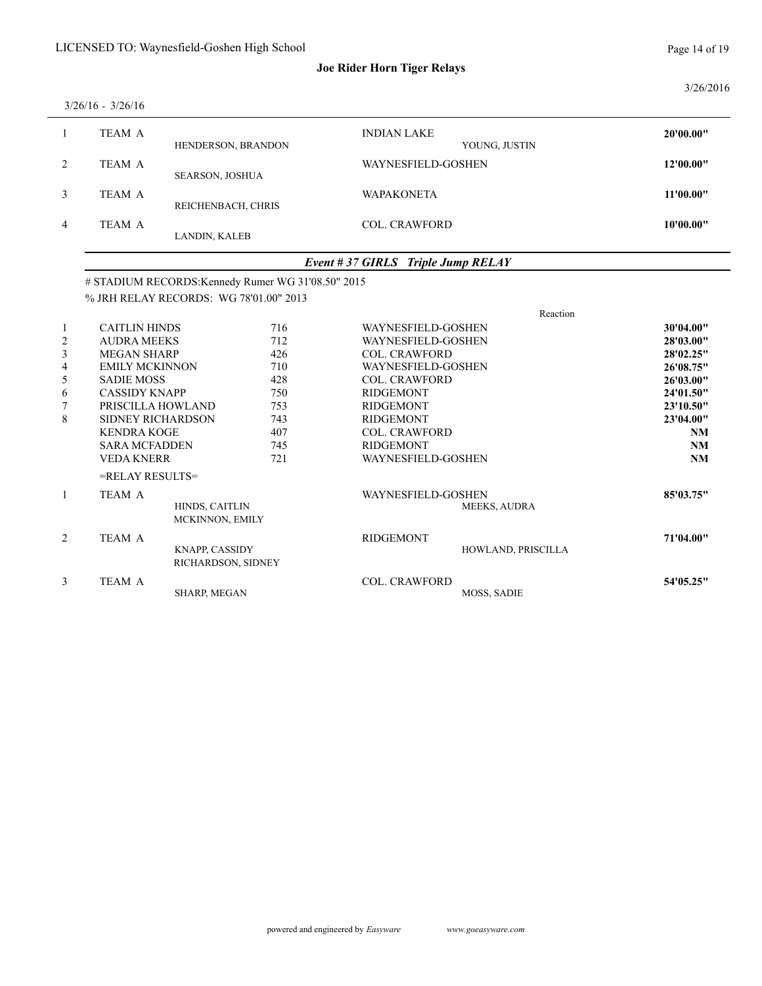3/26/2016

|                | $3/26/16 - 3/26/16$ |                        |                                     |           |
|----------------|---------------------|------------------------|-------------------------------------|-----------|
|                | TEAM A              | HENDERSON, BRANDON     | <b>INDIAN LAKE</b><br>YOUNG, JUSTIN | 20'00.00" |
| 2              | TEAM A              | <b>SEARSON, JOSHUA</b> | WAYNESFIELD-GOSHEN                  | 12'00.00" |
| 3              | TEAM A              | REICHENBACH, CHRIS     | <b>WAPAKONETA</b>                   | 11'00.00" |
| $\overline{4}$ | TEAM A              | LANDIN, KALEB          | <b>COL. CRAWFORD</b>                | 10'00.00" |
|                |                     |                        |                                     |           |

### *Event # 37 GIRLS Triple Jump RELAY*

### # STADIUM RECORDS:Kennedy Rumer WG 31'08.50" 2015

% JRH RELAY RECORDS: WG 78'01.00" 2013

|                |                                             |     |                           | Reaction            |           |
|----------------|---------------------------------------------|-----|---------------------------|---------------------|-----------|
| $\mathbf{1}$   | <b>CAITLIN HINDS</b>                        | 716 | <b>WAYNESFIELD-GOSHEN</b> |                     | 30'04.00" |
| $\overline{2}$ | <b>AUDRA MEEKS</b>                          | 712 | <b>WAYNESFIELD-GOSHEN</b> |                     | 28'03.00" |
| $\mathfrak{Z}$ | <b>MEGAN SHARP</b>                          | 426 | <b>COL. CRAWFORD</b>      |                     | 28'02.25" |
| 4              | <b>EMILY MCKINNON</b>                       | 710 | <b>WAYNESFIELD-GOSHEN</b> |                     | 26'08.75" |
| 5              | <b>SADIE MOSS</b>                           | 428 | <b>COL. CRAWFORD</b>      |                     | 26'03.00" |
| 6              | <b>CASSIDY KNAPP</b>                        | 750 | RIDGEMONT                 |                     | 24'01.50" |
|                | PRISCILLA HOWLAND                           | 753 | <b>RIDGEMONT</b>          |                     | 23'10.50" |
| 8              | <b>SIDNEY RICHARDSON</b>                    | 743 | <b>RIDGEMONT</b>          |                     | 23'04.00" |
|                | <b>KENDRA KOGE</b>                          | 407 | <b>COL. CRAWFORD</b>      |                     | NM        |
|                | <b>SARA MCFADDEN</b>                        | 745 | RIDGEMONT                 |                     | NM        |
|                | <b>VEDA KNERR</b>                           | 721 | <b>WAYNESFIELD-GOSHEN</b> |                     | NM        |
|                | $=$ RELAY RESULTS $=$                       |     |                           |                     |           |
| $\mathbf{1}$   | TEAM A                                      |     | WAYNESFIELD-GOSHEN        |                     | 85'03.75" |
|                | HINDS, CAITLIN<br>MCKINNON, EMILY           |     |                           | <b>MEEKS, AUDRA</b> |           |
| $\overline{2}$ | TEAM A                                      |     | <b>RIDGEMONT</b>          |                     | 71'04.00" |
|                | <b>KNAPP, CASSIDY</b><br>RICHARDSON, SIDNEY |     |                           | HOWLAND, PRISCILLA  |           |
| $\mathfrak{Z}$ | <b>TEAM A</b>                               |     | <b>COL. CRAWFORD</b>      |                     | 54'05.25" |
|                | <b>SHARP, MEGAN</b>                         |     |                           | <b>MOSS, SADIE</b>  |           |
|                |                                             |     |                           |                     |           |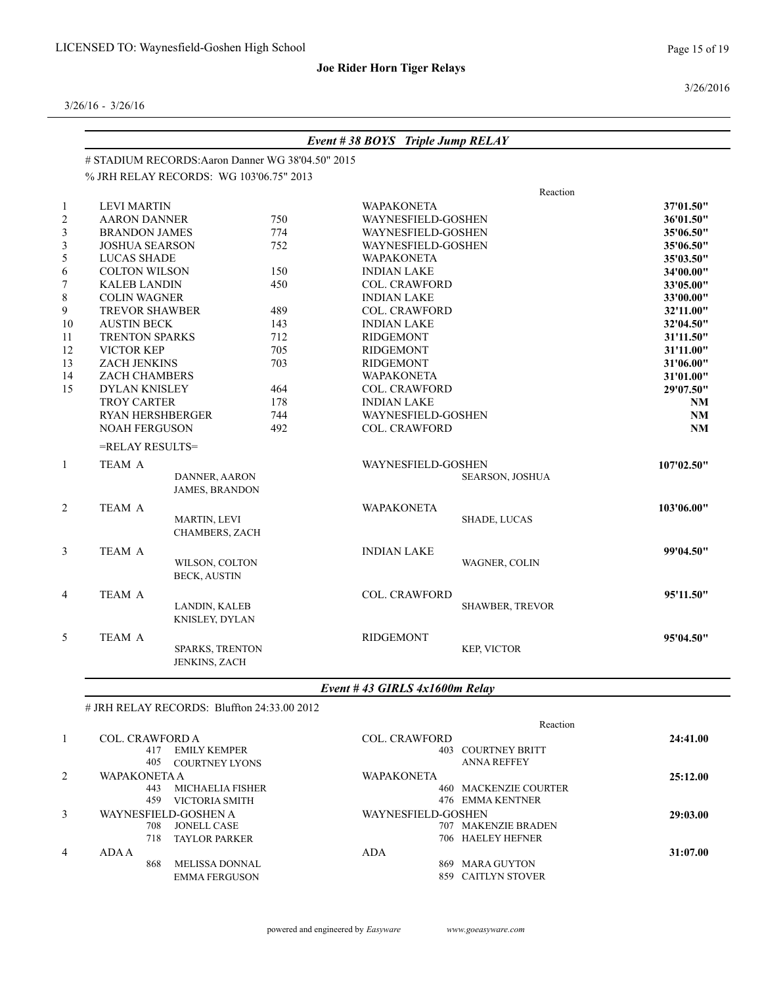Page 15 of 19

3/26/2016

3/26/16 - 3/26/16

|                |                         |                                                   |     | Event #38 BOYS Triple Jump RELAY |                        |                        |
|----------------|-------------------------|---------------------------------------------------|-----|----------------------------------|------------------------|------------------------|
|                |                         | # STADIUM RECORDS: Aaron Danner WG 38'04.50" 2015 |     |                                  |                        |                        |
|                |                         | % JRH RELAY RECORDS: WG 103'06.75" 2013           |     |                                  |                        |                        |
|                |                         |                                                   |     |                                  | Reaction               |                        |
|                | <b>LEVI MARTIN</b>      |                                                   |     | <b>WAPAKONETA</b>                |                        | 37'01.50"              |
| $\overline{c}$ | <b>AARON DANNER</b>     |                                                   | 750 | WAYNESFIELD-GOSHEN               |                        | 36'01.50"              |
|                | <b>BRANDON JAMES</b>    |                                                   | 774 | WAYNESFIELD-GOSHEN               |                        | 35'06.50"              |
| 3              | <b>JOSHUA SEARSON</b>   |                                                   | 752 | WAYNESFIELD-GOSHEN               |                        | 35'06.50"              |
| 5              | LUCAS SHADE             |                                                   |     | <b>WAPAKONETA</b>                |                        | 35'03.50"              |
| 6              | <b>COLTON WILSON</b>    |                                                   | 150 | <b>INDIAN LAKE</b>               |                        | 34'00.00"              |
|                | <b>KALEB LANDIN</b>     |                                                   | 450 | <b>COL. CRAWFORD</b>             |                        | 33'05.00"              |
| 8              | <b>COLIN WAGNER</b>     |                                                   |     | <b>INDIAN LAKE</b>               |                        | 33'00.00"              |
| 9              | <b>TREVOR SHAWBER</b>   |                                                   | 489 | <b>COL. CRAWFORD</b>             |                        | 32'11.00"              |
| $10\,$         | <b>AUSTIN BECK</b>      |                                                   | 143 | <b>INDIAN LAKE</b>               |                        | 32'04.50"              |
| 11             | <b>TRENTON SPARKS</b>   |                                                   | 712 | <b>RIDGEMONT</b>                 |                        | 31'11.50"              |
| 12             | VICTOR KEP              |                                                   | 705 | <b>RIDGEMONT</b>                 |                        | 31'11.00"              |
| 13             | ZACH JENKINS            |                                                   | 703 | <b>RIDGEMONT</b>                 |                        | 31'06.00"<br>31'01.00" |
| 14             | ZACH CHAMBERS           |                                                   |     | <b>WAPAKONETA</b>                |                        |                        |
| 15             | DYLAN KNISLEY           |                                                   | 464 | <b>COL. CRAWFORD</b>             |                        | 29'07.50"              |
|                | <b>TROY CARTER</b>      |                                                   | 178 | <b>INDIAN LAKE</b>               |                        | <b>NM</b>              |
|                | <b>RYAN HERSHBERGER</b> |                                                   | 744 | WAYNESFIELD-GOSHEN               |                        | <b>NM</b>              |
|                | <b>NOAH FERGUSON</b>    |                                                   | 492 | <b>COL. CRAWFORD</b>             |                        | <b>NM</b>              |
|                | =RELAY RESULTS=         |                                                   |     |                                  |                        |                        |
| 1              | TEAM A                  |                                                   |     | WAYNESFIELD-GOSHEN               |                        | 107'02.50"             |
|                |                         | DANNER, AARON                                     |     |                                  | <b>SEARSON, JOSHUA</b> |                        |
|                |                         | <b>JAMES, BRANDON</b>                             |     |                                  |                        |                        |
| $\overline{c}$ | TEAM A                  |                                                   |     | <b>WAPAKONETA</b>                |                        | 103'06.00"             |
|                |                         | MARTIN, LEVI                                      |     |                                  | SHADE, LUCAS           |                        |
|                |                         | CHAMBERS, ZACH                                    |     |                                  |                        |                        |
| 3              | TEAM A                  |                                                   |     | <b>INDIAN LAKE</b>               |                        | 99'04.50"              |
|                |                         | WILSON, COLTON                                    |     |                                  | WAGNER, COLIN          |                        |
|                |                         | <b>BECK, AUSTIN</b>                               |     |                                  |                        |                        |
| 4              | <b>TEAM A</b>           |                                                   |     | <b>COL. CRAWFORD</b>             |                        | 95'11.50"              |
|                |                         | LANDIN, KALEB                                     |     |                                  | <b>SHAWBER, TREVOR</b> |                        |
|                |                         | KNISLEY, DYLAN                                    |     |                                  |                        |                        |
|                |                         |                                                   |     |                                  |                        |                        |
| 5              | <b>TEAM A</b>           | SPARKS, TRENTON                                   |     | <b>RIDGEMONT</b>                 | KEP, VICTOR            | 95'04.50"              |
|                |                         | <b>JENKINS, ZACH</b>                              |     |                                  |                        |                        |
|                |                         |                                                   |     |                                  |                        |                        |

# JRH RELAY RECORDS: Bluffton 24:33.00 2012

|   |                                | Reaction                     |          |
|---|--------------------------------|------------------------------|----------|
|   | <b>COL. CRAWFORD A</b>         | <b>COL. CRAWFORD</b>         | 24:41.00 |
|   | EMILY KEMPER<br>417            | 403 COURTNEY BRITT           |          |
|   | 405<br><b>COURTNEY LYONS</b>   | <b>ANNA REFFEY</b>           |          |
| 2 | WAPAKONETA A                   | <b>WAPAKONETA</b>            | 25:12.00 |
|   | <b>MICHAELIA FISHER</b><br>443 | <b>460 MACKENZIE COURTER</b> |          |
|   | 459<br>VICTORIA SMITH          | 476 EMMA KENTNER             |          |
| 3 | WAYNESFIELD-GOSHEN A           | WAYNESFIELD-GOSHEN           | 29:03.00 |
|   | 708.<br><b>JONELL CASE</b>     | 707 MAKENZIE BRADEN          |          |
|   | 718<br><b>TAYLOR PARKER</b>    | 706 HAELEY HEFNER            |          |
| 4 | ADA A                          | <b>ADA</b>                   | 31:07.00 |
|   | <b>MELISSA DONNAL</b><br>868   | MARA GUYTON<br>869.          |          |
|   | <b>EMMA FERGUSON</b>           | 859 CAITLYN STOVER           |          |
|   |                                |                              |          |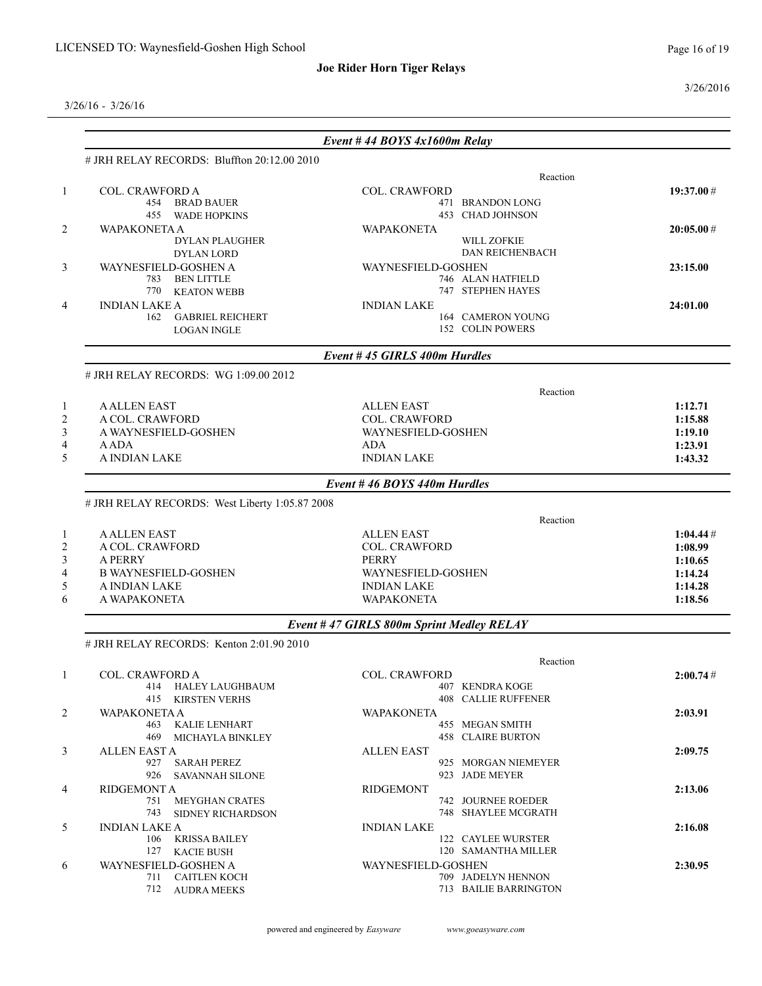3/26/2016

|                                                | Event #44 BOYS $4x1600m$ Relay                 |           |
|------------------------------------------------|------------------------------------------------|-----------|
| # JRH RELAY RECORDS: Bluffton 20:12.00 2010    |                                                |           |
|                                                | Reaction                                       |           |
| COL. CRAWFORD A                                | <b>COL. CRAWFORD</b>                           | 19:37.00# |
| 454 BRAD BAUER                                 | 471 BRANDON LONG                               |           |
| 455 WADE HOPKINS                               | 453 CHAD JOHNSON                               |           |
| <b>WAPAKONETA A</b>                            | <b>WAPAKONETA</b>                              | 20:05.00# |
| <b>DYLAN PLAUGHER</b>                          | <b>WILL ZOFKIE</b><br><b>DAN REICHENBACH</b>   |           |
| <b>DYLAN LORD</b>                              |                                                |           |
| WAYNESFIELD-GOSHEN A<br>783 BEN LITTLE         | WAYNESFIELD-GOSHEN<br>746 ALAN HATFIELD        | 23:15.00  |
| 770 KEATON WEBB                                | 747 STEPHEN HAYES                              |           |
|                                                |                                                |           |
| <b>INDIAN LAKE A</b><br>162 GABRIEL REICHERT   | <b>INDIAN LAKE</b><br><b>164 CAMERON YOUNG</b> | 24:01.00  |
| <b>LOGAN INGLE</b>                             | 152 COLIN POWERS                               |           |
|                                                |                                                |           |
|                                                | Event #45 GIRLS 400m Hurdles                   |           |
| # JRH RELAY RECORDS: WG 1:09.00 2012           |                                                |           |
| <b>A ALLEN EAST</b>                            | Reaction<br><b>ALLEN EAST</b>                  | 1:12.71   |
| A COL. CRAWFORD                                | <b>COL. CRAWFORD</b>                           | 1:15.88   |
| A WAYNESFIELD-GOSHEN                           | WAYNESFIELD-GOSHEN                             | 1:19.10   |
| <b>AADA</b>                                    |                                                |           |
|                                                | ADA                                            | 1:23.91   |
| A INDIAN LAKE                                  | <b>INDIAN LAKE</b>                             | 1:43.32   |
|                                                | Event #46 BOYS 440m Hurdles                    |           |
| # JRH RELAY RECORDS: West Liberty 1:05.87 2008 |                                                |           |
|                                                | Reaction                                       |           |
| <b>AALLEN EAST</b>                             | <b>ALLEN EAST</b>                              | 1:04.44#  |
| A COL. CRAWFORD                                | COL. CRAWFORD                                  | 1:08.99   |
| <b>A PERRY</b>                                 | <b>PERRY</b>                                   | 1:10.65   |
| <b>B WAYNESFIELD-GOSHEN</b>                    | WAYNESFIELD-GOSHEN                             | 1:14.24   |
| A INDIAN LAKE                                  | <b>INDIAN LAKE</b>                             | 1:14.28   |
| A WAPAKONETA                                   | <b>WAPAKONETA</b>                              | 1:18.56   |
|                                                | Event #47 GIRLS 800m Sprint Medley RELAY       |           |
| # JRH RELAY RECORDS: Kenton 2:01.90 2010       |                                                |           |
|                                                | Reaction                                       |           |
| <b>COL. CRAWFORD A</b>                         | <b>COL. CRAWFORD</b>                           | 2:00.74#  |
| 414 HALEY LAUGHBAUM                            | 407 KENDRA KOGE                                |           |
| 415 KIRSTEN VERHS                              | <b>408 CALLIE RUFFENER</b>                     |           |
|                                                | <b>WAPAKONETA</b>                              | 2:03.91   |
| <b>WAPAKONETA A</b>                            |                                                |           |
| 463 KALIE LENHART                              | 455 MEGAN SMITH                                |           |
| 469 MICHAYLA BINKLEY                           | <b>458 CLAIRE BURTON</b>                       |           |
| <b>ALLEN EAST A</b>                            | ALLEN EAST                                     | 2:09.75   |
| 927 SARAH PEREZ                                | 925 MORGAN NIEMEYER                            |           |
| 926 SAVANNAH SILONE                            | 923 JADE MEYER                                 |           |
| RIDGEMONT A                                    | RIDGEMONT                                      | 2:13.06   |
| 751 MEYGHAN CRATES                             | 742 JOURNEE ROEDER                             |           |
| 743 SIDNEY RICHARDSON                          | 748 SHAYLEE MCGRATH                            |           |
| <b>INDIAN LAKE A</b>                           | <b>INDIAN LAKE</b>                             | 2:16.08   |
| 106 KRISSA BAILEY                              | 122 CAYLEE WURSTER                             |           |
| 127 KACIE BUSH                                 | 120 SAMANTHA MILLER                            |           |
| WAYNESFIELD-GOSHEN A                           | WAYNESFIELD-GOSHEN                             | 2:30.95   |
| 711 CAITLEN KOCH<br>712 AUDRA MEEKS            | 709 JADELYN HENNON<br>713 BAILIE BARRINGTON    |           |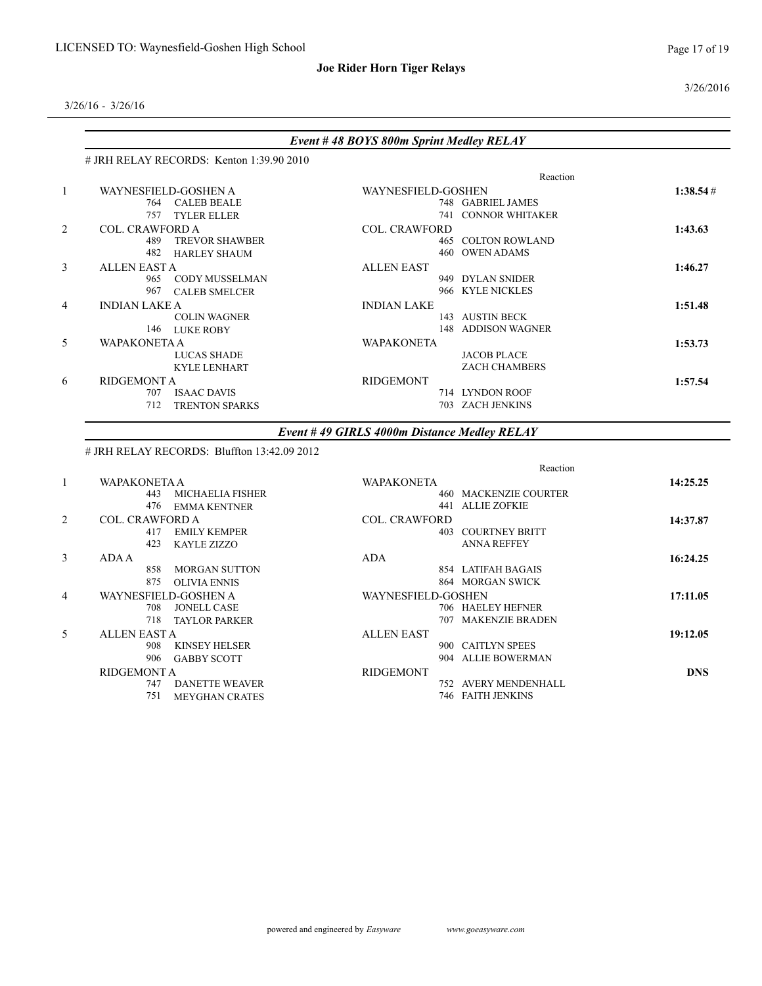#### 3/26/2016

3/26/16 - 3/26/16

|                |                                             | Event #48 BOYS 800m Sprint Medley RELAY     |            |
|----------------|---------------------------------------------|---------------------------------------------|------------|
|                | # JRH RELAY RECORDS: Kenton 1:39.90 2010    |                                             |            |
|                |                                             | Reaction                                    |            |
| $\mathbf{1}$   | WAYNESFIELD-GOSHEN A                        | WAYNESFIELD-GOSHEN                          | 1:38.54#   |
|                | 764 CALEB BEALE                             | 748 GABRIEL JAMES                           |            |
|                | 757 TYLER ELLER                             | 741 CONNOR WHITAKER                         |            |
| 2              | <b>COL. CRAWFORD A</b>                      | <b>COL. CRAWFORD</b>                        | 1:43.63    |
|                | 489 TREVOR SHAWBER                          | <b>465 COLTON ROWLAND</b>                   |            |
|                | 482 HARLEY SHAUM                            | 460 OWEN ADAMS                              |            |
| 3              | ALLEN EAST A                                | <b>ALLEN EAST</b>                           | 1:46.27    |
|                | 965 CODY MUSSELMAN                          | 949 DYLAN SNIDER                            |            |
|                | 967 CALEB SMELCER                           | 966 KYLE NICKLES                            |            |
| 4              | <b>INDIAN LAKE A</b>                        | <b>INDIAN LAKE</b>                          | 1:51.48    |
|                | <b>COLIN WAGNER</b>                         | 143 AUSTIN BECK                             |            |
|                | 146 LUKE ROBY                               | 148 ADDISON WAGNER                          |            |
| 5              | <b>WAPAKONETA A</b>                         | <b>WAPAKONETA</b>                           | 1:53.73    |
|                | <b>LUCAS SHADE</b>                          | <b>JACOB PLACE</b>                          |            |
|                | <b>KYLE LENHART</b>                         | ZACH CHAMBERS                               |            |
| 6              | <b>RIDGEMONT A</b>                          | <b>RIDGEMONT</b>                            | 1:57.54    |
|                | 707 ISAAC DAVIS                             | 714 LYNDON ROOF                             |            |
|                | 712 TRENTON SPARKS                          | 703 ZACH JENKINS                            |            |
|                |                                             | Event #49 GIRLS 4000m Distance Medley RELAY |            |
|                | # JRH RELAY RECORDS: Bluffton 13:42.09 2012 |                                             |            |
|                |                                             | Reaction                                    |            |
| $\mathbf{1}$   | <b>WAPAKONETA A</b>                         | <b>WAPAKONETA</b>                           | 14:25.25   |
|                | 443 MICHAELIA FISHER                        | <b>460 MACKENZIE COURTER</b>                |            |
|                | 476 EMMA KENTNER                            | 441 ALLIE ZOFKIE                            |            |
| $\overline{c}$ | COL. CRAWFORD A                             | <b>COL. CRAWFORD</b>                        | 14:37.87   |
|                | 417 EMILY KEMPER                            | <b>403 COURTNEY BRITT</b>                   |            |
|                | 423<br><b>KAYLE ZIZZO</b>                   | <b>ANNA REFFEY</b>                          |            |
| 3              | <b>ADA A</b>                                | <b>ADA</b>                                  | 16:24.25   |
|                | 858 MORGAN SUTTON                           | 854 LATIFAH BAGAIS                          |            |
|                | 875 OLIVIA ENNIS                            | 864 MORGAN SWICK                            |            |
| 4              | WAYNESFIELD-GOSHEN A                        | WAYNESFIELD-GOSHEN                          | 17:11.05   |
|                | 708 JONELL CASE                             | 706 HAELEY HEFNER                           |            |
|                | 718 TAYLOR PARKER                           | 707 MAKENZIE BRADEN                         |            |
| 5              | ALLEN EAST A                                | <b>ALLEN EAST</b>                           | 19:12.05   |
|                | <b>KINSEY HELSER</b><br>908                 | 900 CAITLYN SPEES                           |            |
|                | 906 GABBY SCOTT                             | 904 ALLIE BOWERMAN                          |            |
|                | RIDGEMONT A                                 | <b>RIDGEMONT</b>                            | <b>DNS</b> |
|                | 747 DANETTE WEAVER                          | 752 AVERY MENDENHALL                        |            |
|                | 751 MEYGHAN CRATES                          | 746 FAITH JENKINS                           |            |

751 MEYGHAN CRATES

powered and engineered by *Easyware www.goeasyware.com*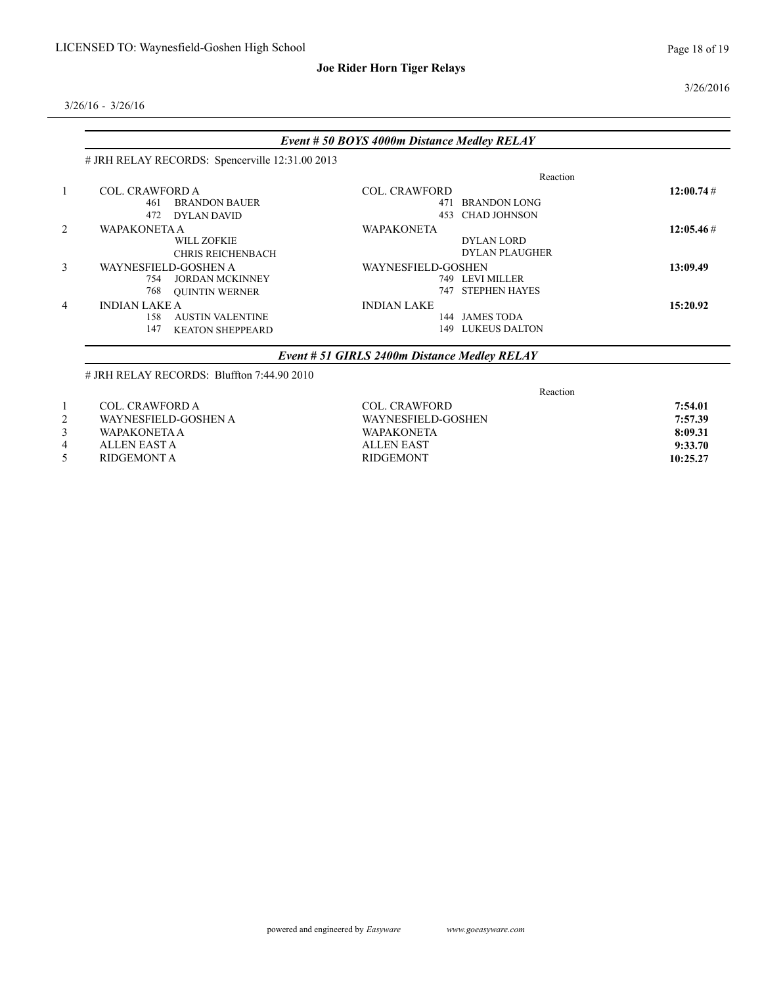#### 3/26/2016

|   |                                                 | Event # 50 BOYS 4000m Distance Medley RELAY  |                       |              |
|---|-------------------------------------------------|----------------------------------------------|-----------------------|--------------|
|   | # JRH RELAY RECORDS: Spencerville 12:31.00 2013 |                                              |                       |              |
|   |                                                 |                                              | Reaction              |              |
|   | <b>COL. CRAWFORD A</b>                          | <b>COL. CRAWFORD</b>                         |                       | 12:00.74#    |
|   | <b>BRANDON BAUER</b><br>461                     |                                              | 471 BRANDON LONG      |              |
|   | 472<br><b>DYLAN DAVID</b>                       | 453                                          | <b>CHAD JOHNSON</b>   |              |
| 2 | <b>WAPAKONETA A</b>                             | <b>WAPAKONETA</b>                            |                       | $12:05.46\#$ |
|   | <b>WILL ZOFKIE</b>                              |                                              | <b>DYLAN LORD</b>     |              |
|   | <b>CHRIS REICHENBACH</b>                        |                                              | <b>DYLAN PLAUGHER</b> |              |
| 3 | WAYNESFIELD-GOSHEN A                            | WAYNESFIELD-GOSHEN                           |                       | 13:09.49     |
|   | <b>JORDAN MCKINNEY</b><br>754                   |                                              | 749 LEVI MILLER       |              |
|   | 768<br><b>OUINTIN WERNER</b>                    | 747                                          | <b>STEPHEN HAYES</b>  |              |
| 4 | <b>INDIAN LAKE A</b>                            | <b>INDIAN LAKE</b>                           |                       | 15:20.92     |
|   | <b>AUSTIN VALENTINE</b><br>158                  |                                              | 144 JAMES TODA        |              |
|   | 147<br><b>KEATON SHEPPEARD</b>                  | 149                                          | LUKEUS DALTON         |              |
|   |                                                 | Event # 51 GIRLS 2400m Distance Medley RELAY |                       |              |
|   | $\#$ JRH RELAY RECORDS: Bluffton 7:44.90 2010   |                                              |                       |              |
|   |                                                 |                                              | Reaction              |              |
|   | <b>COL. CRAWFORD A</b>                          | <b>COL. CRAWFORD</b>                         |                       | 7:54.01      |

- 
- 
- 
- RIDGEMONT A
- 2 WAYNESFIELD-GOSHEN A WAYNESFIELD-GOSHEN **7:57.39** 3 WAPAKONETA A WAPAKONETA **8:09.31** 4 ALLEN EAST A ALLEN EAST 9:33.70<br>5 RIDGEMONT A RIDGEMONT RIDGEMONT 10:25.27